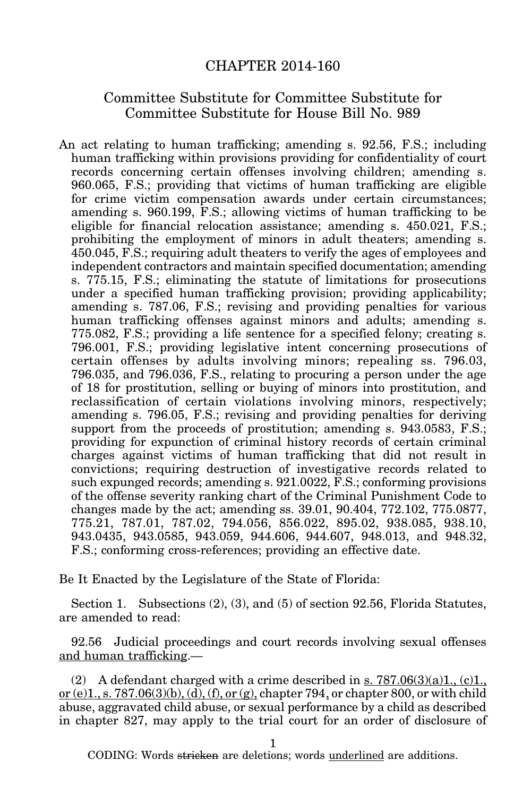## CHAPTER 2014-160

## Committee Substitute for Committee Substitute for Committee Substitute for House Bill No. 989

An act relating to human trafficking; amending s. 92.56, F.S.; including human trafficking within provisions providing for confidentiality of court records concerning certain offenses involving children; amending s. 960.065, F.S.; providing that victims of human trafficking are eligible for crime victim compensation awards under certain circumstances; amending s. 960.199, F.S.; allowing victims of human trafficking to be eligible for financial relocation assistance; amending s. 450.021, F.S.; prohibiting the employment of minors in adult theaters; amending s. 450.045, F.S.; requiring adult theaters to verify the ages of employees and independent contractors and maintain specified documentation; amending s. 775.15, F.S.; eliminating the statute of limitations for prosecutions under a specified human trafficking provision; providing applicability; amending s. 787.06, F.S.; revising and providing penalties for various human trafficking offenses against minors and adults; amending s. 775.082, F.S.; providing a life sentence for a specified felony; creating s. 796.001, F.S.; providing legislative intent concerning prosecutions of certain offenses by adults involving minors; repealing ss. 796.03, 796.035, and 796.036, F.S., relating to procuring a person under the age of 18 for prostitution, selling or buying of minors into prostitution, and reclassification of certain violations involving minors, respectively; amending s. 796.05, F.S.; revising and providing penalties for deriving support from the proceeds of prostitution; amending s. 943.0583, F.S.; providing for expunction of criminal history records of certain criminal charges against victims of human trafficking that did not result in convictions; requiring destruction of investigative records related to such expunged records; amending s. 921.0022, F.S.; conforming provisions of the offense severity ranking chart of the Criminal Punishment Code to changes made by the act; amending ss. 39.01, 90.404, 772.102, 775.0877, 775.21, 787.01, 787.02, 794.056, 856.022, 895.02, 938.085, 938.10, 943.0435, 943.0585, 943.059, 944.606, 944.607, 948.013, and 948.32, F.S.; conforming cross-references; providing an effective date.

Be It Enacted by the Legislature of the State of Florida:

Section 1. Subsections (2), (3), and (5) of section 92.56, Florida Statutes, are amended to read:

92.56 Judicial proceedings and court records involving sexual offenses and human trafficking.—

(2) A defendant charged with a crime described in s.  $787.06(3)(a)1, (c)1,$ or (e)1, s. 787.06(3)(b), (d), (f), or (g), chapter 794, or chapter 800, or with child abuse, aggravated child abuse, or sexual performance by a child as described in chapter 827, may apply to the trial court for an order of disclosure of

1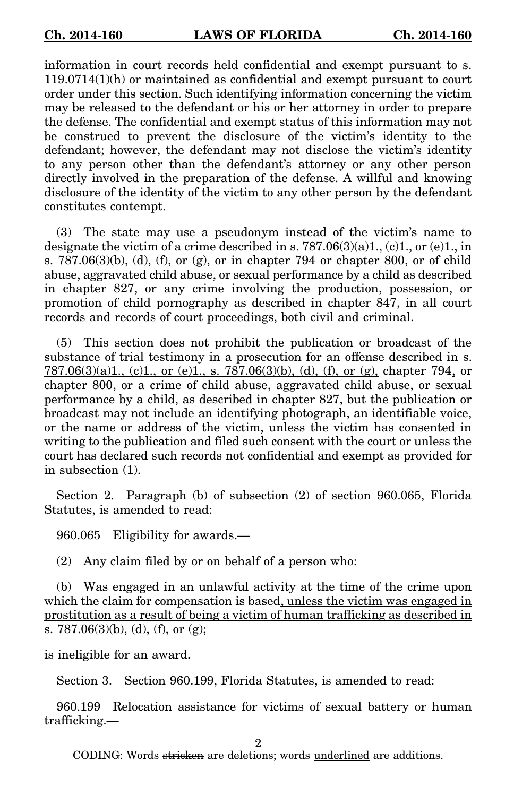information in court records held confidential and exempt pursuant to s. 119.0714(1)(h) or maintained as confidential and exempt pursuant to court order under this section. Such identifying information concerning the victim may be released to the defendant or his or her attorney in order to prepare the defense. The confidential and exempt status of this information may not be construed to prevent the disclosure of the victim's identity to the defendant; however, the defendant may not disclose the victim's identity to any person other than the defendant's attorney or any other person directly involved in the preparation of the defense. A willful and knowing disclosure of the identity of the victim to any other person by the defendant constitutes contempt.

(3) The state may use a pseudonym instead of the victim's name to designate the victim of a crime described in s.  $787.06(3)(a)1, (c)1, or (e)1, in$  $s. 787.06(3)(b)$ , (d), (f), or (g), or in chapter 794 or chapter 800, or of child abuse, aggravated child abuse, or sexual performance by a child as described in chapter 827, or any crime involving the production, possession, or promotion of child pornography as described in chapter 847, in all court records and records of court proceedings, both civil and criminal.

(5) This section does not prohibit the publication or broadcast of the substance of trial testimony in a prosecution for an offense described in s.  $787.06(3)(a)1$ , (c)1, or (e)1, s.  $787.06(3)(b)$ , (d), (f), or (g), chapter 794, or chapter 800, or a crime of child abuse, aggravated child abuse, or sexual performance by a child, as described in chapter 827, but the publication or broadcast may not include an identifying photograph, an identifiable voice, or the name or address of the victim, unless the victim has consented in writing to the publication and filed such consent with the court or unless the court has declared such records not confidential and exempt as provided for in subsection (1).

Section 2. Paragraph (b) of subsection (2) of section 960.065, Florida Statutes, is amended to read:

960.065 Eligibility for awards.—

(2) Any claim filed by or on behalf of a person who:

(b) Was engaged in an unlawful activity at the time of the crime upon which the claim for compensation is based, unless the victim was engaged in prostitution as a result of being a victim of human trafficking as described in s. 787.06 $(3)(b)$ ,  $(d)$ ,  $(f)$ , or  $(g)$ ;

is ineligible for an award.

Section 3. Section 960.199, Florida Statutes, is amended to read:

960.199 Relocation assistance for victims of sexual battery or human trafficking.—

 $\mathfrak{D}$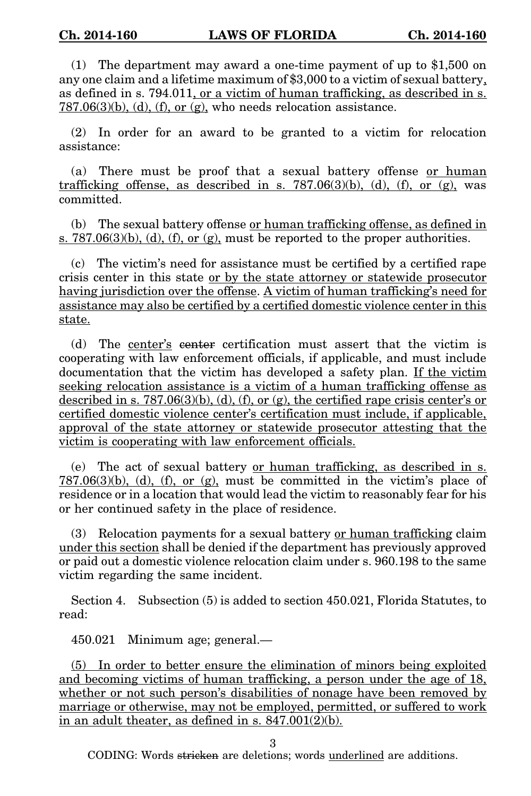(1) The department may award a one-time payment of up to \$1,500 on any one claim and a lifetime maximum of \$3,000 to a victim of sexual battery, as defined in s. 794.011, or a victim of human trafficking, as described in s.  $787.06(3)(b)$ , (d), (f), or (g), who needs relocation assistance.

(2) In order for an award to be granted to a victim for relocation assistance:

(a) There must be proof that a sexual battery offense or human trafficking offense, as described in s.  $787.06(3)(b)$ , (d), (f), or (g), was committed.

(b) The sexual battery offense or human trafficking offense, as defined in s.  $787.06(3)(b)$ , (d), (f), or (g), must be reported to the proper authorities.

(c) The victim's need for assistance must be certified by a certified rape crisis center in this state or by the state attorney or statewide prosecutor having jurisdiction over the offense. A victim of human trafficking's need for assistance may also be certified by a certified domestic violence center in this state.

(d) The center's center certification must assert that the victim is cooperating with law enforcement officials, if applicable, and must include documentation that the victim has developed a safety plan. If the victim seeking relocation assistance is a victim of a human trafficking offense as described in s. 787.06(3)(b), (d), (f), or (g), the certified rape crisis center's or certified domestic violence center's certification must include, if applicable, approval of the state attorney or statewide prosecutor attesting that the victim is cooperating with law enforcement officials.

(e) The act of sexual battery or human trafficking, as described in s.  $787.06(3)(b)$ , (d), (f), or (g), must be committed in the victim's place of residence or in a location that would lead the victim to reasonably fear for his or her continued safety in the place of residence.

(3) Relocation payments for a sexual battery or human trafficking claim under this section shall be denied if the department has previously approved or paid out a domestic violence relocation claim under s. 960.198 to the same victim regarding the same incident.

Section 4. Subsection (5) is added to section 450.021, Florida Statutes, to read:

450.021 Minimum age; general.—

(5) In order to better ensure the elimination of minors being exploited and becoming victims of human trafficking, a person under the age of 18, whether or not such person's disabilities of nonage have been removed by marriage or otherwise, may not be employed, permitted, or suffered to work in an adult theater, as defined in s. 847.001(2)(b).

3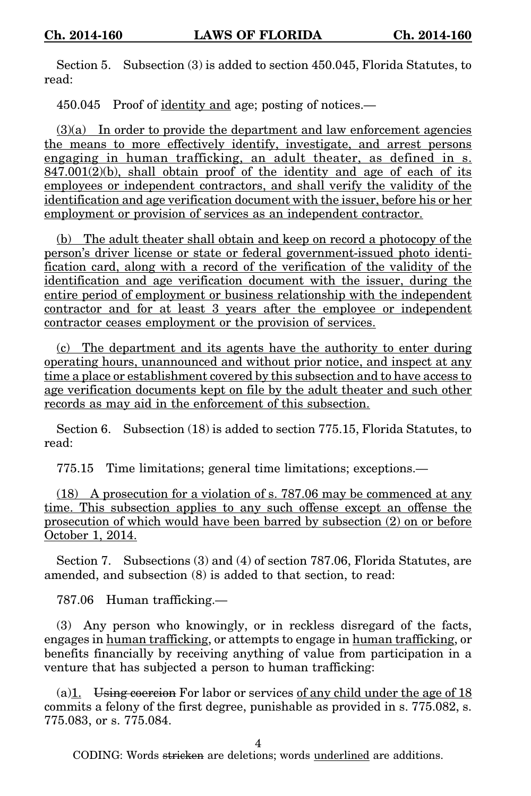Section 5. Subsection (3) is added to section 450.045, Florida Statutes, to read:

450.045 Proof of identity and age; posting of notices.—

 $(3)(a)$  In order to provide the department and law enforcement agencies the means to more effectively identify, investigate, and arrest persons engaging in human trafficking, an adult theater, as defined in s.  $847.001(2)(b)$ , shall obtain proof of the identity and age of each of its employees or independent contractors, and shall verify the validity of the identification and age verification document with the issuer, before his or her employment or provision of services as an independent contractor.

(b) The adult theater shall obtain and keep on record a photocopy of the person's driver license or state or federal government-issued photo identification card, along with a record of the verification of the validity of the identification and age verification document with the issuer, during the entire period of employment or business relationship with the independent contractor and for at least 3 years after the employee or independent contractor ceases employment or the provision of services.

(c) The department and its agents have the authority to enter during operating hours, unannounced and without prior notice, and inspect at any time a place or establishment covered by this subsection and to have access to age verification documents kept on file by the adult theater and such other records as may aid in the enforcement of this subsection.

Section 6. Subsection (18) is added to section 775.15, Florida Statutes, to read:

775.15 Time limitations; general time limitations; exceptions.—

(18) A prosecution for a violation of s. 787.06 may be commenced at any time. This subsection applies to any such offense except an offense the prosecution of which would have been barred by subsection (2) on or before October 1, 2014.

Section 7. Subsections (3) and (4) of section 787.06, Florida Statutes, are amended, and subsection (8) is added to that section, to read:

787.06 Human trafficking.—

(3) Any person who knowingly, or in reckless disregard of the facts, engages in human trafficking, or attempts to engage in human trafficking, or benefits financially by receiving anything of value from participation in a venture that has subjected a person to human trafficking:

(a) $\underline{1}$ . Using coercion For labor or services of any child under the age of 18 commits a felony of the first degree, punishable as provided in s. 775.082, s. 775.083, or s. 775.084.

4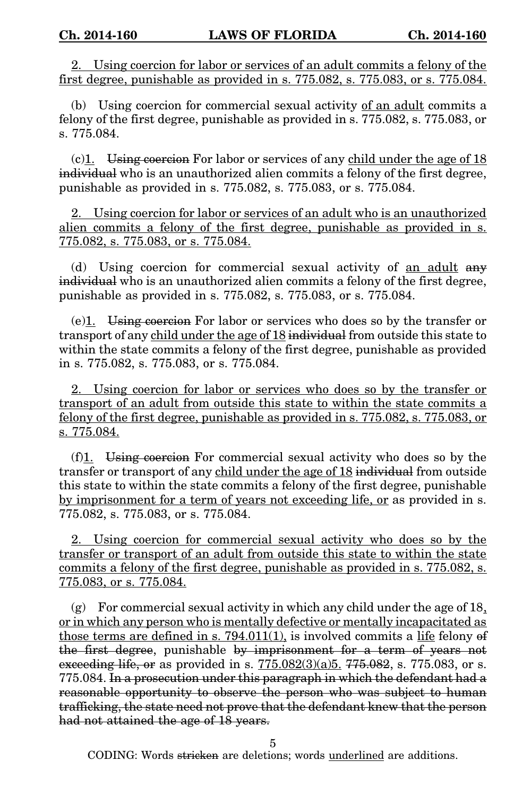2. Using coercion for labor or services of an adult commits a felony of the first degree, punishable as provided in s. 775.082, s. 775.083, or s. 775.084.

(b) Using coercion for commercial sexual activity of an adult commits a felony of the first degree, punishable as provided in s. 775.082, s. 775.083, or s. 775.084.

 $(c)$ 1. Using coercion For labor or services of any child under the age of 18 individual who is an unauthorized alien commits a felony of the first degree, punishable as provided in s. 775.082, s. 775.083, or s. 775.084.

2. Using coercion for labor or services of an adult who is an unauthorized alien commits a felony of the first degree, punishable as provided in s. 775.082, s. 775.083, or s. 775.084.

(d) Using coercion for commercial sexual activity of an adult any individual who is an unauthorized alien commits a felony of the first degree, punishable as provided in s. 775.082, s. 775.083, or s. 775.084.

 $(e)$ <sup>1</sup>. Using coercion For labor or services who does so by the transfer or transport of any child under the age of 18 individual from outside this state to within the state commits a felony of the first degree, punishable as provided in s. 775.082, s. 775.083, or s. 775.084.

2. Using coercion for labor or services who does so by the transfer or transport of an adult from outside this state to within the state commits a felony of the first degree, punishable as provided in s. 775.082, s. 775.083, or s. 775.084.

(f)1. Using coercion For commercial sexual activity who does so by the transfer or transport of any child under the age of 18 individual from outside this state to within the state commits a felony of the first degree, punishable by imprisonment for a term of years not exceeding life, or as provided in s. 775.082, s. 775.083, or s. 775.084.

2. Using coercion for commercial sexual activity who does so by the transfer or transport of an adult from outside this state to within the state commits a felony of the first degree, punishable as provided in s. 775.082, s. 775.083, or s. 775.084.

(g) For commercial sexual activity in which any child under the age of 18, or in which any person who is mentally defective or mentally incapacitated as those terms are defined in s. 794.011(1), is involved commits a life felony of the first degree, punishable by imprisonment for a term of years not exceeding life, or as provided in s.  $775.082(3)(a)5$ .  $775.082$ , s. 775.083, or s. 775.084. In a prosecution under this paragraph in which the defendant had a reasonable opportunity to observe the person who was subject to human trafficking, the state need not prove that the defendant knew that the person had not attained the age of 18 years.

5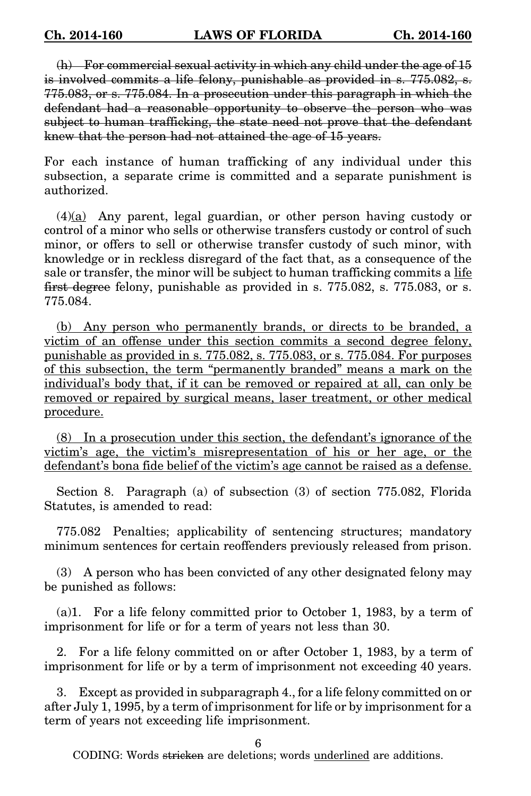(h) For commercial sexual activity in which any child under the age of 15 is involved commits a life felony, punishable as provided in s. 775.082, s. 775.083, or s. 775.084. In a prosecution under this paragraph in which the defendant had a reasonable opportunity to observe the person who was subject to human trafficking, the state need not prove that the defendant knew that the person had not attained the age of 15 years.

For each instance of human trafficking of any individual under this subsection, a separate crime is committed and a separate punishment is authorized.

(4)(a) Any parent, legal guardian, or other person having custody or control of a minor who sells or otherwise transfers custody or control of such minor, or offers to sell or otherwise transfer custody of such minor, with knowledge or in reckless disregard of the fact that, as a consequence of the sale or transfer, the minor will be subject to human trafficking commits a life first degree felony, punishable as provided in s. 775.082, s. 775.083, or s. 775.084.

(b) Any person who permanently brands, or directs to be branded, a victim of an offense under this section commits a second degree felony, punishable as provided in s. 775.082, s. 775.083, or s. 775.084. For purposes of this subsection, the term "permanently branded" means a mark on the individual's body that, if it can be removed or repaired at all, can only be removed or repaired by surgical means, laser treatment, or other medical procedure.

(8) In a prosecution under this section, the defendant's ignorance of the victim's age, the victim's misrepresentation of his or her age, or the defendant's bona fide belief of the victim's age cannot be raised as a defense.

Section 8. Paragraph (a) of subsection (3) of section 775.082, Florida Statutes, is amended to read:

775.082 Penalties; applicability of sentencing structures; mandatory minimum sentences for certain reoffenders previously released from prison.

(3) A person who has been convicted of any other designated felony may be punished as follows:

(a)1. For a life felony committed prior to October 1, 1983, by a term of imprisonment for life or for a term of years not less than 30.

2. For a life felony committed on or after October 1, 1983, by a term of imprisonment for life or by a term of imprisonment not exceeding 40 years.

3. Except as provided in subparagraph 4., for a life felony committed on or after July 1, 1995, by a term of imprisonment for life or by imprisonment for a term of years not exceeding life imprisonment.

6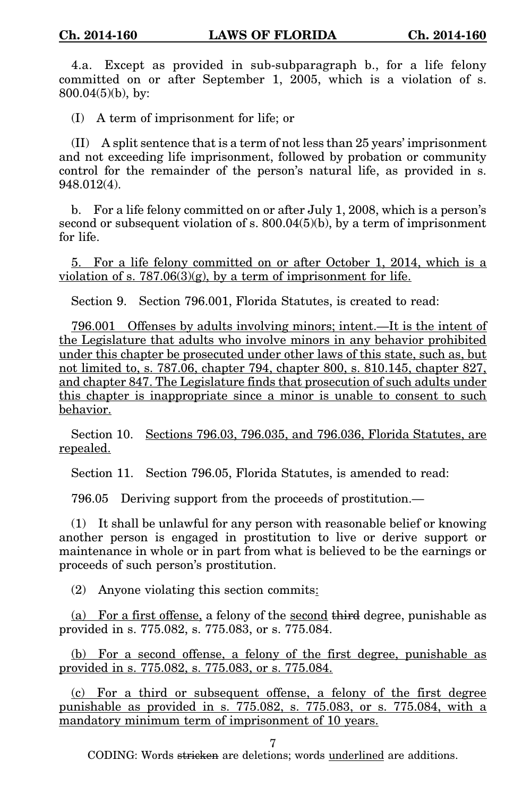4.a. Except as provided in sub-subparagraph b., for a life felony committed on or after September 1, 2005, which is a violation of s. 800.04(5)(b), by:

(I) A term of imprisonment for life; or

(II) A split sentence that is a term of not less than 25 years' imprisonment and not exceeding life imprisonment, followed by probation or community control for the remainder of the person's natural life, as provided in s. 948.012(4).

b. For a life felony committed on or after July 1, 2008, which is a person's second or subsequent violation of s. 800.04(5)(b), by a term of imprisonment for life.

5. For a life felony committed on or after October 1, 2014, which is a violation of s.  $787.06(3)(g)$ , by a term of imprisonment for life.

Section 9. Section 796.001, Florida Statutes, is created to read:

796.001 Offenses by adults involving minors; intent.—It is the intent of the Legislature that adults who involve minors in any behavior prohibited under this chapter be prosecuted under other laws of this state, such as, but not limited to, s. 787.06, chapter 794, chapter 800, s. 810.145, chapter 827, and chapter 847. The Legislature finds that prosecution of such adults under this chapter is inappropriate since a minor is unable to consent to such behavior.

Section 10. Sections 796.03, 796.035, and 796.036, Florida Statutes, are repealed.

Section 11. Section 796.05, Florida Statutes, is amended to read:

796.05 Deriving support from the proceeds of prostitution.—

(1) It shall be unlawful for any person with reasonable belief or knowing another person is engaged in prostitution to live or derive support or maintenance in whole or in part from what is believed to be the earnings or proceeds of such person's prostitution.

(2) Anyone violating this section commits:

(a) For a first offense, a felony of the second third degree, punishable as provided in s. 775.082, s. 775.083, or s. 775.084.

(b) For a second offense, a felony of the first degree, punishable as provided in s. 775.082, s. 775.083, or s. 775.084.

(c) For a third or subsequent offense, a felony of the first degree punishable as provided in s. 775.082, s. 775.083, or s. 775.084, with a mandatory minimum term of imprisonment of 10 years.

7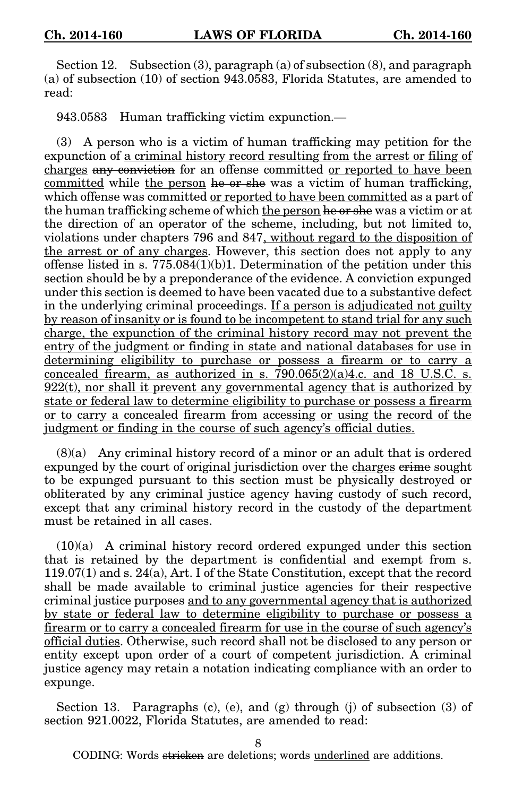Section 12. Subsection (3), paragraph (a) of subsection (8), and paragraph (a) of subsection (10) of section 943.0583, Florida Statutes, are amended to read:

943.0583 Human trafficking victim expunction.—

(3) A person who is a victim of human trafficking may petition for the expunction of a criminal history record resulting from the arrest or filing of charges any conviction for an offense committed or reported to have been committed while the person he or she was a victim of human trafficking, which offense was committed or reported to have been committed as a part of the human trafficking scheme of which the person he or she was a victim or at the direction of an operator of the scheme, including, but not limited to, violations under chapters 796 and 847, without regard to the disposition of the arrest or of any charges. However, this section does not apply to any offense listed in s. 775.084(1)(b)1. Determination of the petition under this section should be by a preponderance of the evidence. A conviction expunged under this section is deemed to have been vacated due to a substantive defect in the underlying criminal proceedings. If a person is adjudicated not guilty by reason of insanity or is found to be incompetent to stand trial for any such charge, the expunction of the criminal history record may not prevent the entry of the judgment or finding in state and national databases for use in determining eligibility to purchase or possess a firearm or to carry a concealed firearm, as authorized in s.  $790.065(2)(a)4.c.$  and 18 U.S.C. s.  $922(t)$ , nor shall it prevent any governmental agency that is authorized by state or federal law to determine eligibility to purchase or possess a firearm or to carry a concealed firearm from accessing or using the record of the judgment or finding in the course of such agency's official duties.

(8)(a) Any criminal history record of a minor or an adult that is ordered expunged by the court of original jurisdiction over the charges erime sought to be expunged pursuant to this section must be physically destroyed or obliterated by any criminal justice agency having custody of such record, except that any criminal history record in the custody of the department must be retained in all cases.

 $(10)(a)$  A criminal history record ordered expunged under this section that is retained by the department is confidential and exempt from s. 119.07(1) and s. 24(a), Art. I of the State Constitution, except that the record shall be made available to criminal justice agencies for their respective criminal justice purposes and to any governmental agency that is authorized by state or federal law to determine eligibility to purchase or possess a firearm or to carry a concealed firearm for use in the course of such agency's official duties. Otherwise, such record shall not be disclosed to any person or entity except upon order of a court of competent jurisdiction. A criminal justice agency may retain a notation indicating compliance with an order to expunge.

Section 13. Paragraphs (c), (e), and (g) through (j) of subsection (3) of section 921.0022, Florida Statutes, are amended to read:

8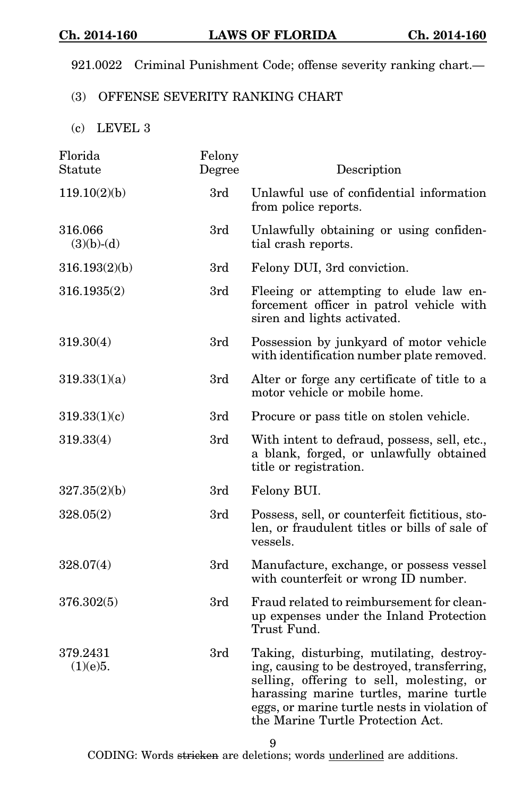921.0022 Criminal Punishment Code; offense severity ranking chart.—

## (3) OFFENSE SEVERITY RANKING CHART

(c) LEVEL 3

| Florida<br>Statute      | Felony<br>Degree | Description                                                                                                                                                                                                                                                         |
|-------------------------|------------------|---------------------------------------------------------------------------------------------------------------------------------------------------------------------------------------------------------------------------------------------------------------------|
| 119.10(2)(b)            | 3rd              | Unlawful use of confidential information<br>from police reports.                                                                                                                                                                                                    |
| 316.066<br>$(3)(b)-(d)$ | 3rd              | Unlawfully obtaining or using confiden-<br>tial crash reports.                                                                                                                                                                                                      |
| 316.193(2)(b)           | 3rd              | Felony DUI, 3rd conviction.                                                                                                                                                                                                                                         |
| 316.1935(2)             | 3rd              | Fleeing or attempting to elude law en-<br>forcement officer in patrol vehicle with<br>siren and lights activated.                                                                                                                                                   |
| 319.30(4)               | 3rd              | Possession by junkyard of motor vehicle<br>with identification number plate removed.                                                                                                                                                                                |
| 319.33(1)(a)            | 3rd              | Alter or forge any certificate of title to a<br>motor vehicle or mobile home.                                                                                                                                                                                       |
| 319.33(1)(c)            | 3rd              | Procure or pass title on stolen vehicle.                                                                                                                                                                                                                            |
| 319.33(4)               | 3rd              | With intent to defraud, possess, sell, etc.,<br>a blank, forged, or unlawfully obtained<br>title or registration.                                                                                                                                                   |
| 327.35(2)(b)            | 3rd              | Felony BUI.                                                                                                                                                                                                                                                         |
| 328.05(2)               | 3rd              | Possess, sell, or counterfeit fictitious, sto-<br>len, or fraudulent titles or bills of sale of<br>vessels.                                                                                                                                                         |
| 328.07(4)               | 3rd              | Manufacture, exchange, or possess vessel<br>with counterfeit or wrong ID number.                                                                                                                                                                                    |
| 376.302(5)              | 3rd              | Fraud related to reimbursement for clean-<br>up expenses under the Inland Protection<br>Trust Fund.                                                                                                                                                                 |
| 379.2431<br>(1)(e)5.    | 3rd              | Taking, disturbing, mutilating, destroy-<br>ing, causing to be destroyed, transferring,<br>selling, offering to sell, molesting, or<br>harassing marine turtles, marine turtle<br>eggs, or marine turtle nests in violation of<br>the Marine Turtle Protection Act. |

9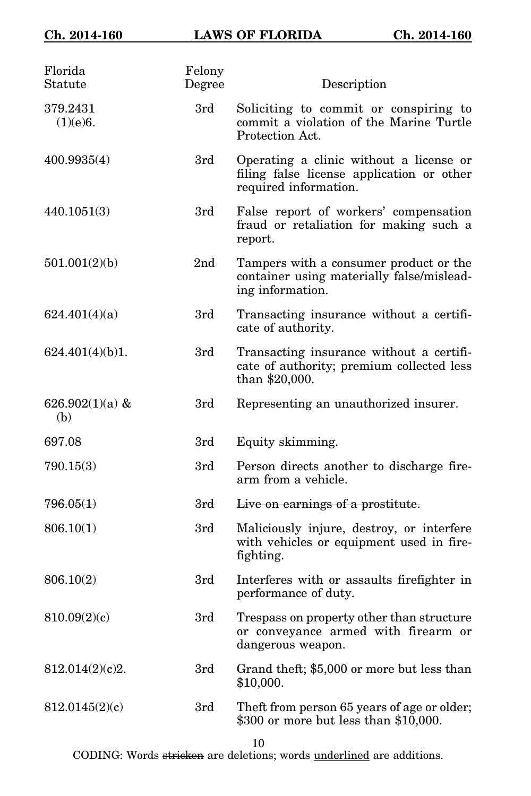| Florida<br>Statute        | Felony<br>Degree | Description                                                                                                   |
|---------------------------|------------------|---------------------------------------------------------------------------------------------------------------|
| 379.2431<br>(1)(e)6.      | 3rd              | Soliciting to commit or conspiring to<br>commit a violation of the Marine Turtle<br>Protection Act.           |
| 400.9935(4)               | 3rd              | Operating a clinic without a license or<br>filing false license application or other<br>required information. |
| 440.1051(3)               | 3rd              | False report of workers' compensation<br>fraud or retaliation for making such a<br>report.                    |
| 501.001(2)(b)             | 2 <sub>nd</sub>  | Tampers with a consumer product or the<br>container using materially false/mislead-<br>ing information.       |
| 624.401(4)(a)             | 3rd              | Transacting insurance without a certifi-<br>cate of authority.                                                |
| 624.401(4)(b)1.           | 3rd              | Transacting insurance without a certifi-<br>cate of authority; premium collected less<br>than \$20,000.       |
| 626.902 $(1)(a)$ &<br>(b) | 3rd              | Representing an unauthorized insurer.                                                                         |
| 697.08                    | 3rd              | Equity skimming.                                                                                              |
| 790.15(3)                 | 3rd              | Person directs another to discharge fire-<br>arm from a vehicle.                                              |
| 796.05(1)                 | <del>3rd</del>   | Live on earnings of a prostitute.                                                                             |
| 806.10(1)                 | 3rd              | Maliciously injure, destroy, or interfere<br>with vehicles or equipment used in fire-<br>fighting.            |
| 806.10(2)                 | 3rd              | Interferes with or assaults firefighter in<br>performance of duty.                                            |
| 810.09(2)(c)              | 3rd              | Trespass on property other than structure<br>or conveyance armed with firearm or<br>dangerous weapon.         |
| 812.014(2)(c)2.           | 3rd              | Grand theft; \$5,000 or more but less than<br>\$10,000.                                                       |
| 812.0145(2)(c)            | 3rd              | Theft from person 65 years of age or older;<br>\$300 or more but less than \$10,000.                          |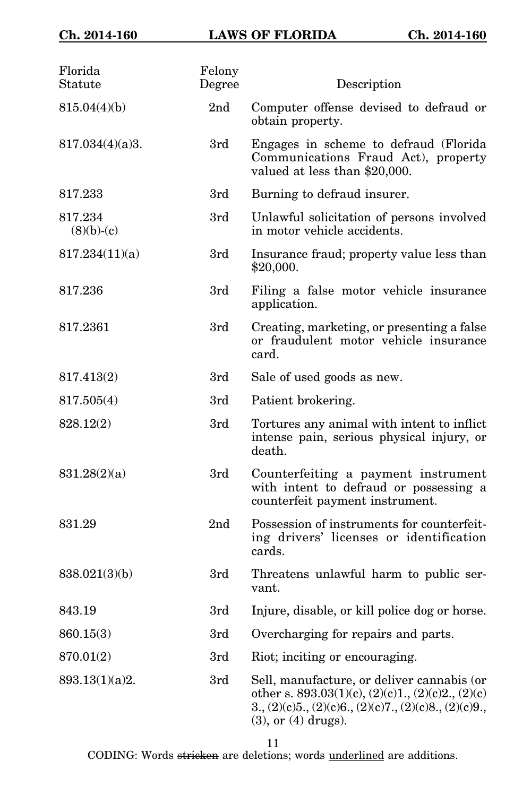| Florida<br>Statute      | Felony<br>Degree | Description                                                                                                                                                                                       |
|-------------------------|------------------|---------------------------------------------------------------------------------------------------------------------------------------------------------------------------------------------------|
| 815.04(4)(b)            | 2 <sub>nd</sub>  | Computer offense devised to defraud or<br>obtain property.                                                                                                                                        |
| 817.034(4)(a)3.         | 3rd              | Engages in scheme to defraud (Florida)<br>Communications Fraud Act), property<br>valued at less than \$20,000.                                                                                    |
| 817.233                 | 3rd              | Burning to defraud insurer.                                                                                                                                                                       |
| 817.234<br>$(8)(b)-(c)$ | 3rd              | Unlawful solicitation of persons involved<br>in motor vehicle accidents.                                                                                                                          |
| 817.234(11)(a)          | 3rd              | Insurance fraud; property value less than<br>\$20,000.                                                                                                                                            |
| 817.236                 | 3rd              | Filing a false motor vehicle insurance<br>application.                                                                                                                                            |
| 817.2361                | 3rd              | Creating, marketing, or presenting a false<br>or fraudulent motor vehicle insurance<br>card.                                                                                                      |
| 817.413(2)              | 3rd              | Sale of used goods as new.                                                                                                                                                                        |
| 817.505(4)              | 3rd              | Patient brokering.                                                                                                                                                                                |
| 828.12(2)               | 3rd              | Tortures any animal with intent to inflict<br>intense pain, serious physical injury, or<br>death.                                                                                                 |
| 831.28(2)(a)            | 3rd              | Counterfeiting a payment instrument<br>with intent to defraud or possessing a<br>counterfeit payment instrument.                                                                                  |
| 831.29                  | 2 <sub>nd</sub>  | Possession of instruments for counterfeit-<br>ing drivers' licenses or identification<br>cards.                                                                                                   |
| 838.021(3)(b)           | 3rd              | Threatens unlawful harm to public ser-<br>vant.                                                                                                                                                   |
| 843.19                  | 3rd              | Injure, disable, or kill police dog or horse.                                                                                                                                                     |
| 860.15(3)               | 3rd              | Overcharging for repairs and parts.                                                                                                                                                               |
| 870.01(2)               | 3rd              | Riot; inciting or encouraging.                                                                                                                                                                    |
| 893.13(1)(a)2.          | 3rd              | Sell, manufacture, or deliver cannabis (or<br>other s. $893.03(1)(c)$ , $(2)(c)1$ ., $(2)(c)2$ ., $(2)(c)$<br>$3., (2)(c)5., (2)(c)6., (2)(c)7., (2)(c)8., (2)(c)9.,$<br>$(3)$ , or $(4)$ drugs). |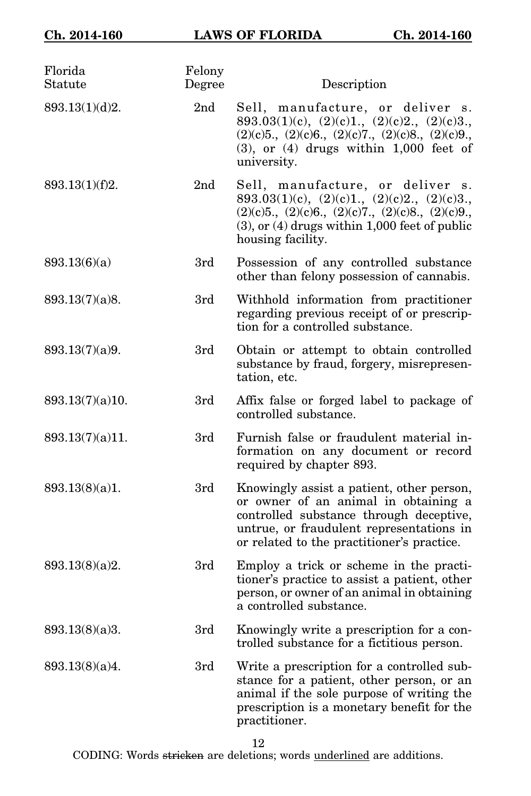| Florida<br>Statute | Felony<br>Degree | Description                                                                                                                                                                                                            |
|--------------------|------------------|------------------------------------------------------------------------------------------------------------------------------------------------------------------------------------------------------------------------|
| 893.13(1)(d)2.     | 2 <sub>nd</sub>  | Sell, manufacture, or deliver s.<br>893.03(1)(c), (2)(c)1., (2)(c)2., (2)(c)3.,<br>$(2)(c)5, (2)(c)6, (2)(c)7, (2)(c)8, (2)(c)9,$<br>$(3)$ , or $(4)$ drugs within 1,000 feet of<br>university.                        |
| 893.13(1)(f)2.     | 2 <sub>nd</sub>  | Sell, manufacture, or deliver s.<br>893.03(1)(c), (2)(c)1., (2)(c)2., (2)(c)3.,<br>$(2)(c)5, (2)(c)6, (2)(c)7, (2)(c)8, (2)(c)9,$<br>$(3)$ , or $(4)$ drugs within 1,000 feet of public<br>housing facility.           |
| 893.13(6)(a)       | 3rd              | Possession of any controlled substance<br>other than felony possession of cannabis.                                                                                                                                    |
| 893.13(7)(a)8.     | 3rd              | Withhold information from practitioner<br>regarding previous receipt of or prescrip-<br>tion for a controlled substance.                                                                                               |
| 893.13(7)(a)9.     | 3rd              | Obtain or attempt to obtain controlled<br>substance by fraud, forgery, misrepresen-<br>tation, etc.                                                                                                                    |
| 893.13(7)(a)10.    | 3rd              | Affix false or forged label to package of<br>controlled substance.                                                                                                                                                     |
| 893.13(7)(a)11.    | 3rd              | Furnish false or fraudulent material in-<br>formation on any document or record<br>required by chapter 893.                                                                                                            |
| 893.13(8)(a)1.     | 3rd              | Knowingly assist a patient, other person,<br>or owner of an animal in obtaining a<br>controlled substance through deceptive,<br>untrue, or fraudulent representations in<br>or related to the practitioner's practice. |
| 893.13(8)(a)2.     | 3rd              | Employ a trick or scheme in the practi-<br>tioner's practice to assist a patient, other<br>person, or owner of an animal in obtaining<br>a controlled substance.                                                       |
| 893.13(8)(a)3.     | 3rd              | Knowingly write a prescription for a con-<br>trolled substance for a fictitious person.                                                                                                                                |
| 893.13(8)(a)4.     | 3rd              | Write a prescription for a controlled sub-<br>stance for a patient, other person, or an<br>animal if the sole purpose of writing the<br>prescription is a monetary benefit for the<br>practitioner.                    |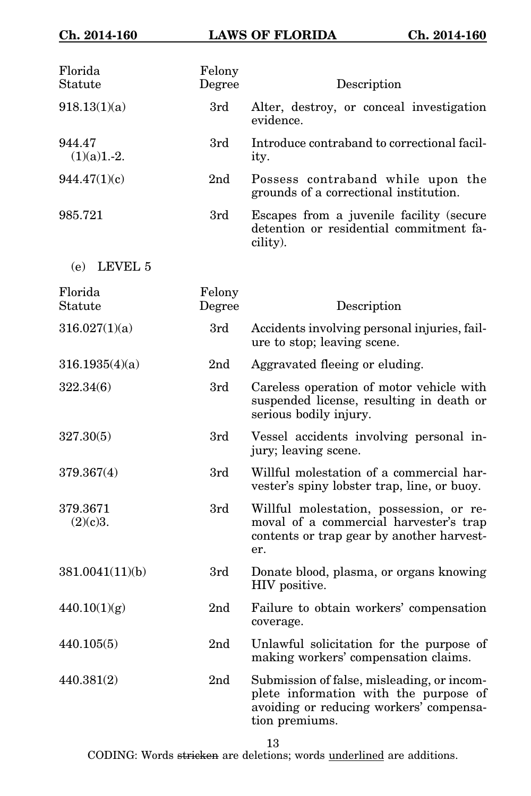| Florida<br>Statute      | Felony<br>Degree | Description                                                                                                                                      |
|-------------------------|------------------|--------------------------------------------------------------------------------------------------------------------------------------------------|
| 918.13(1)(a)            | 3rd              | Alter, destroy, or conceal investigation<br>evidence.                                                                                            |
| 944.47<br>$(1)(a)1.-2.$ | 3rd              | Introduce contraband to correctional facil-<br>ity.                                                                                              |
| 944.47(1)(c)            | 2 <sub>nd</sub>  | Possess contraband while upon the<br>grounds of a correctional institution.                                                                      |
| 985.721                 | 3rd              | Escapes from a juvenile facility (secure<br>detention or residential commitment fa-<br>cility).                                                  |
| LEVEL 5<br>(e)          |                  |                                                                                                                                                  |
| Florida<br>Statute      | Felony<br>Degree | Description                                                                                                                                      |
| 316.027(1)(a)           | 3rd              | Accidents involving personal injuries, fail-<br>ure to stop; leaving scene.                                                                      |
| 316.1935(4)(a)          | 2nd              | Aggravated fleeing or eluding.                                                                                                                   |
| 322.34(6)               | 3rd              | Careless operation of motor vehicle with<br>suspended license, resulting in death or<br>serious bodily injury.                                   |
| 327.30(5)               | 3rd              | Vessel accidents involving personal in-<br>jury; leaving scene.                                                                                  |
| 379.367(4)              | 3rd              | Willful molestation of a commercial har-<br>vester's spiny lobster trap, line, or buoy.                                                          |
| 379.3671<br>(2)(c)3.    | 3rd              | Willful molestation, possession, or re-<br>moval of a commercial harvester's trap<br>contents or trap gear by another harvest-<br>er.            |
| 381.0041(11)(b)         | 3rd              | Donate blood, plasma, or organs knowing<br>HIV positive.                                                                                         |
| 440.10(1)(g)            | 2nd              | Failure to obtain workers' compensation<br>coverage.                                                                                             |
| 440.105(5)              | 2nd              | Unlawful solicitation for the purpose of<br>making workers' compensation claims.                                                                 |
| 440.381(2)              | 2 <sub>nd</sub>  | Submission of false, misleading, or incom-<br>plete information with the purpose of<br>avoiding or reducing workers' compensa-<br>tion premiums. |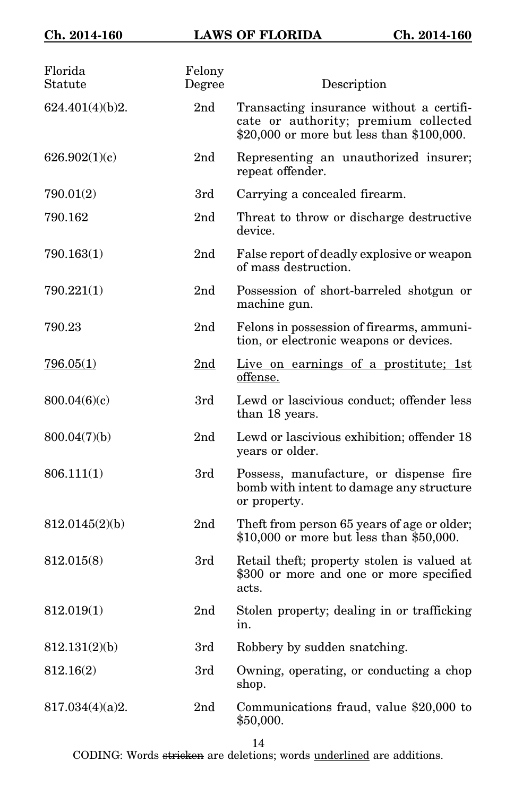| Florida<br>Statute | Felony<br>Degree | Description                                                                                                                   |
|--------------------|------------------|-------------------------------------------------------------------------------------------------------------------------------|
| 624.401(4)(b)2.    | 2 <sub>nd</sub>  | Transacting insurance without a certifi-<br>cate or authority; premium collected<br>\$20,000 or more but less than \$100,000. |
| 626.902(1)(c)      | 2 <sub>nd</sub>  | Representing an unauthorized insurer;<br>repeat offender.                                                                     |
| 790.01(2)          | 3rd              | Carrying a concealed firearm.                                                                                                 |
| 790.162            | 2 <sub>nd</sub>  | Threat to throw or discharge destructive<br>device.                                                                           |
| 790.163(1)         | 2 <sub>nd</sub>  | False report of deadly explosive or weapon<br>of mass destruction.                                                            |
| 790.221(1)         | 2nd              | Possession of short-barreled shotgun or<br>machine gun.                                                                       |
| 790.23             | 2 <sub>nd</sub>  | Felons in possession of firearms, ammuni-<br>tion, or electronic weapons or devices.                                          |
| 796.05(1)          | 2 <sub>nd</sub>  | Live on earnings of a prostitute; 1st<br>offense.                                                                             |
| 800.04(6)(c)       | 3rd              | Lewd or lascivious conduct; offender less<br>than 18 years.                                                                   |
| 800.04(7)(b)       | 2 <sub>nd</sub>  | Lewd or lascivious exhibition; offender 18<br>years or older.                                                                 |
| 806.111(1)         | 3rd              | Possess, manufacture, or dispense fire<br>bomb with intent to damage any structure<br>or property.                            |
| 812.0145(2)(b)     | 2nd              | Theft from person 65 years of age or older;<br>\$10,000 or more but less than \$50,000.                                       |
| 812.015(8)         | 3rd              | Retail theft; property stolen is valued at<br>\$300 or more and one or more specified<br>acts.                                |
| 812.019(1)         | 2 <sub>nd</sub>  | Stolen property; dealing in or trafficking<br>ın.                                                                             |
| 812.131(2)(b)      | 3rd              | Robbery by sudden snatching.                                                                                                  |
| 812.16(2)          | 3rd              | Owning, operating, or conducting a chop<br>shop.                                                                              |
| 817.034(4)(a)2.    | 2nd              | Communications fraud, value \$20,000 to<br>\$50,000.                                                                          |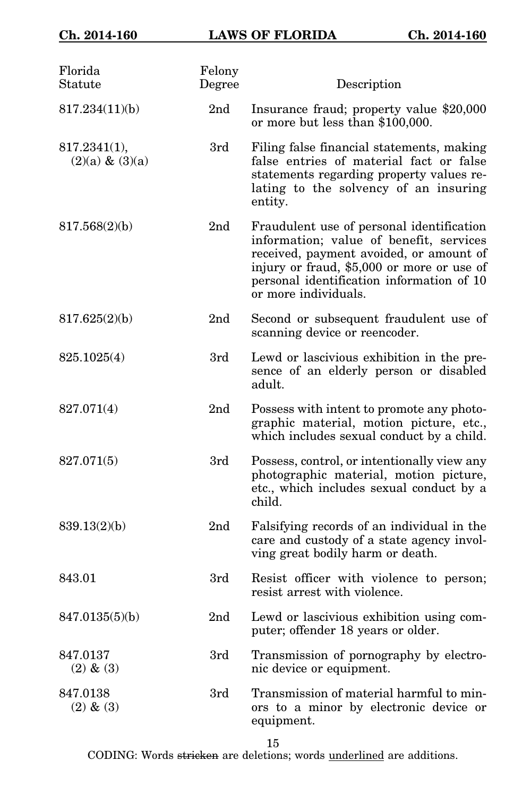| Florida<br>Statute                 | Felony<br>Degree | Description                                                                                                                                                                                                                                        |
|------------------------------------|------------------|----------------------------------------------------------------------------------------------------------------------------------------------------------------------------------------------------------------------------------------------------|
| 817.234(11)(b)                     | 2 <sub>nd</sub>  | Insurance fraud; property value \$20,000<br>or more but less than \$100,000.                                                                                                                                                                       |
| 817.2341(1),<br>$(2)(a) \& (3)(a)$ | 3rd              | Filing false financial statements, making<br>false entries of material fact or false<br>statements regarding property values re-<br>lating to the solvency of an insuring<br>entity.                                                               |
| 817.568(2)(b)                      | 2 <sub>nd</sub>  | Fraudulent use of personal identification<br>information; value of benefit, services<br>received, payment avoided, or amount of<br>injury or fraud, \$5,000 or more or use of<br>personal identification information of 10<br>or more individuals. |
| 817.625(2)(b)                      | 2 <sub>nd</sub>  | Second or subsequent fraudulent use of<br>scanning device or reencoder.                                                                                                                                                                            |
| 825.1025(4)                        | 3rd              | Lewd or lascivious exhibition in the pre-<br>sence of an elderly person or disabled<br>adult.                                                                                                                                                      |
| 827.071(4)                         | 2 <sub>nd</sub>  | Possess with intent to promote any photo-<br>graphic material, motion picture, etc.,<br>which includes sexual conduct by a child.                                                                                                                  |
| 827.071(5)                         | 3rd              | Possess, control, or intentionally view any<br>photographic material, motion picture,<br>etc., which includes sexual conduct by a<br>child.                                                                                                        |
| 839.13(2)(b)                       | 2 <sub>nd</sub>  | Falsifying records of an individual in the<br>care and custody of a state agency invol-<br>ving great bodily harm or death.                                                                                                                        |
| 843.01                             | 3rd              | Resist officer with violence to person;<br>resist arrest with violence.                                                                                                                                                                            |
| 847.0135(5)(b)                     | 2nd              | Lewd or lascivious exhibition using com-<br>puter; offender 18 years or older.                                                                                                                                                                     |
| 847.0137<br>$(2)$ & $(3)$          | 3rd              | Transmission of pornography by electro-<br>nic device or equipment.                                                                                                                                                                                |
| 847.0138<br>$(2)$ & $(3)$          | 3rd              | Transmission of material harmful to min-<br>ors to a minor by electronic device or<br>equipment.                                                                                                                                                   |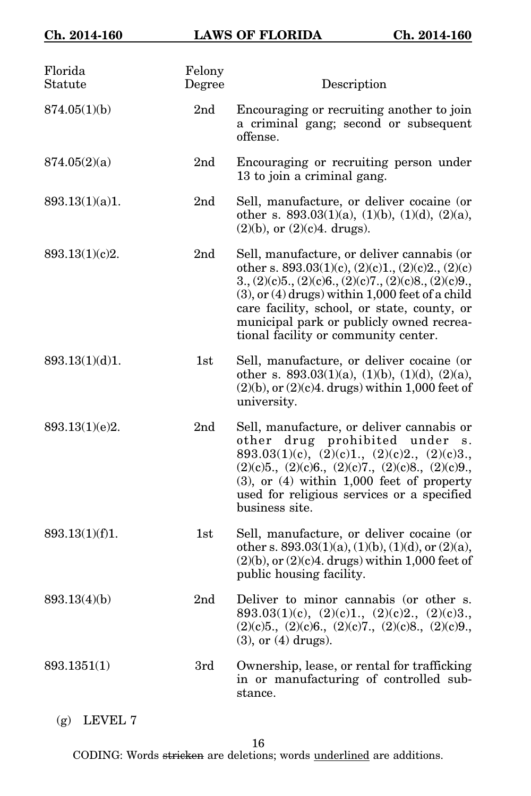| Florida<br>Statute | Felony<br>Degree | Description                                                                                                                                                                                                                                                                                                                                                      |
|--------------------|------------------|------------------------------------------------------------------------------------------------------------------------------------------------------------------------------------------------------------------------------------------------------------------------------------------------------------------------------------------------------------------|
| 874.05(1)(b)       | 2nd              | Encouraging or recruiting another to join<br>a criminal gang; second or subsequent<br>offense.                                                                                                                                                                                                                                                                   |
| 874.05(2)(a)       | 2nd              | Encouraging or recruiting person under<br>13 to join a criminal gang.                                                                                                                                                                                                                                                                                            |
| 893.13(1)(a)1.     | 2 <sub>nd</sub>  | Sell, manufacture, or deliver cocaine (or<br>other s. $893.03(1)(a)$ , $(1)(b)$ , $(1)(d)$ , $(2)(a)$ ,<br>$(2)(b)$ , or $(2)(c)4$ . drugs).                                                                                                                                                                                                                     |
| 893.13(1)(c)2.     | 2 <sub>nd</sub>  | Sell, manufacture, or deliver cannabis (or<br>other s. $893.03(1)(c)$ , $(2)(c)1$ ., $(2)(c)2$ ., $(2)(c)$<br>$3., (2)(c)5., (2)(c)6., (2)(c)7., (2)(c)8., (2)(c)9.,$<br>$(3)$ , or $(4)$ drugs) within 1,000 feet of a child<br>care facility, school, or state, county, or<br>municipal park or publicly owned recrea-<br>tional facility or community center. |
| 893.13(1)(d)1.     | 1st              | Sell, manufacture, or deliver cocaine (or<br>other s. $893.03(1)(a)$ , $(1)(b)$ , $(1)(d)$ , $(2)(a)$ ,<br>$(2)(b)$ , or $(2)(c)4$ . drugs) within 1,000 feet of<br>university.                                                                                                                                                                                  |
| 893.13(1)(e)2.     | 2nd              | Sell, manufacture, or deliver cannabis or<br>other drug prohibited under s.<br>893.03(1)(c), $(\overline{2})(c)$ 1., $(2)(c)2$ ., $(2)(c)3$ .,<br>$(2)(c)5$ , $(2)(c)6$ , $(2)(c)7$ , $(2)(c)8$ , $(2)(c)9$ ,<br>$(3)$ , or $(4)$ within 1,000 feet of property<br>used for religious services or a specified<br>business site.                                  |
| 893.13(1)(f)1.     | 1st              | Sell, manufacture, or deliver cocaine (or<br>other s. 893.03(1)(a), (1)(b), (1)(d), or (2)(a),<br>$(2)(b)$ , or $(2)(c)4$ . drugs) within 1,000 feet of<br>public housing facility.                                                                                                                                                                              |
| 893.13(4)(b)       | 2nd              | Deliver to minor cannabis (or other s.<br>893.03(1)(c), (2)(c)1., (2)(c)2., (2)(c)3.,<br>$(2)(c)5$ ., $(2)(c)6$ ., $(2)(c)7$ ., $(2)(c)8$ ., $(2)(c)9$ .,<br>$(3)$ , or $(4)$ drugs).                                                                                                                                                                            |
| 893.1351(1)        | 3rd              | Ownership, lease, or rental for trafficking<br>in or manufacturing of controlled sub-<br>stance.                                                                                                                                                                                                                                                                 |

(g) LEVEL 7

16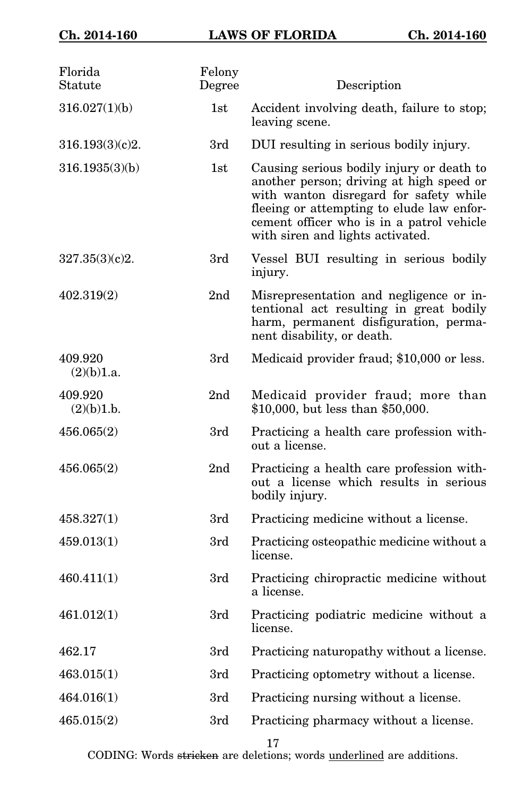| Florida<br>Statute    | Felony<br>Degree | Description                                                                                                                                                                                                                                                   |
|-----------------------|------------------|---------------------------------------------------------------------------------------------------------------------------------------------------------------------------------------------------------------------------------------------------------------|
| 316.027(1)(b)         | 1st              | Accident involving death, failure to stop;<br>leaving scene.                                                                                                                                                                                                  |
| 316.193(3)(c)2.       | 3rd              | DUI resulting in serious bodily injury.                                                                                                                                                                                                                       |
| 316.1935(3)(b)        | 1st              | Causing serious bodily injury or death to<br>another person; driving at high speed or<br>with wanton disregard for safety while<br>fleeing or attempting to elude law enfor-<br>cement officer who is in a patrol vehicle<br>with siren and lights activated. |
| 327.35(3)(c)2.        | 3rd              | Vessel BUI resulting in serious bodily<br>injury.                                                                                                                                                                                                             |
| 402.319(2)            | 2nd              | Misrepresentation and negligence or in-<br>tentional act resulting in great bodily<br>harm, permanent disfiguration, perma-<br>nent disability, or death.                                                                                                     |
| 409.920<br>(2)(b)1.a. | 3rd              | Medicaid provider fraud; \$10,000 or less.                                                                                                                                                                                                                    |
| 409.920<br>(2)(b)1.b. | 2nd              | Medicaid provider fraud; more than<br>\$10,000, but less than \$50,000.                                                                                                                                                                                       |
| 456.065(2)            | 3rd              | Practicing a health care profession with-<br>out a license.                                                                                                                                                                                                   |
| 456.065(2)            | 2 <sub>nd</sub>  | Practicing a health care profession with-<br>out a license which results in serious<br>bodily injury.                                                                                                                                                         |
| 458.327(1)            | 3rd              | Practicing medicine without a license.                                                                                                                                                                                                                        |
| 459.013(1)            | 3rd              | Practicing osteopathic medicine without a<br>license.                                                                                                                                                                                                         |
| 460.411(1)            | 3rd              | Practicing chiropractic medicine without<br>a license.                                                                                                                                                                                                        |
| 461.012(1)            | 3rd              | Practicing podiatric medicine without a<br>license.                                                                                                                                                                                                           |
| 462.17                | 3rd              | Practicing naturopathy without a license.                                                                                                                                                                                                                     |
| 463.015(1)            | 3rd              | Practicing optometry without a license.                                                                                                                                                                                                                       |
| 464.016(1)            | 3rd              | Practicing nursing without a license.                                                                                                                                                                                                                         |
| 465.015(2)            | 3rd              | Practicing pharmacy without a license.                                                                                                                                                                                                                        |
|                       |                  |                                                                                                                                                                                                                                                               |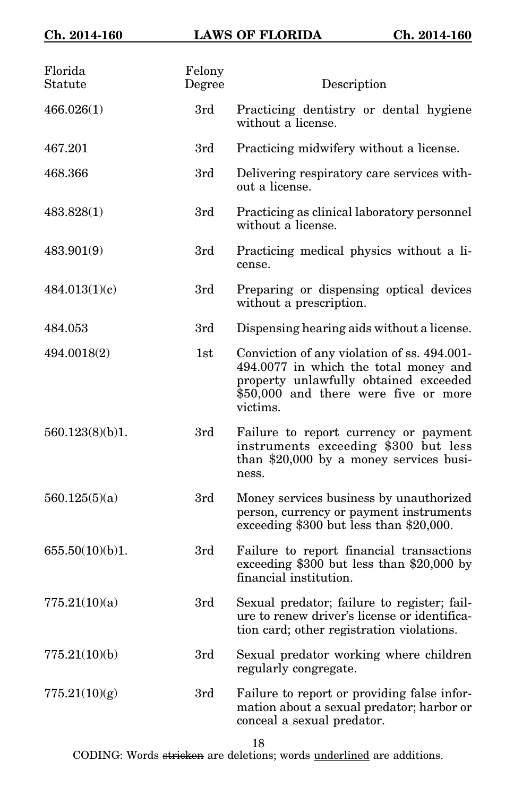| Florida<br>Statute | Felony<br>Degree | Description                                                                                                                                                                       |
|--------------------|------------------|-----------------------------------------------------------------------------------------------------------------------------------------------------------------------------------|
| 466.026(1)         | 3rd              | Practicing dentistry or dental hygiene<br>without a license.                                                                                                                      |
| 467.201            | 3rd              | Practicing midwifery without a license.                                                                                                                                           |
| 468.366            | 3rd              | Delivering respiratory care services with-<br>out a license.                                                                                                                      |
| 483.828(1)         | 3rd              | Practicing as clinical laboratory personnel<br>without a license.                                                                                                                 |
| 483.901(9)         | 3rd              | Practicing medical physics without a li-<br>cense.                                                                                                                                |
| 484.013(1)(c)      | 3rd              | Preparing or dispensing optical devices<br>without a prescription.                                                                                                                |
| 484.053            | 3rd              | Dispensing hearing aids without a license.                                                                                                                                        |
| 494.0018(2)        | 1st              | Conviction of any violation of ss. 494.001-<br>494.0077 in which the total money and<br>property unlawfully obtained exceeded<br>\$50,000 and there were five or more<br>victims. |
| 560.123(8)(b)1.    | 3rd              | Failure to report currency or payment<br>instruments exceeding \$300 but less<br>than $$20,000$ by a money services busi-<br>ness.                                                |
| 560.125(5)(a)      | 3rd              | Money services business by unauthorized<br>person, currency or payment instruments<br>exceeding \$300 but less than \$20,000.                                                     |
| 655.50(10)(b)1.    | 3rd              | Failure to report financial transactions<br>exceeding $$300$ but less than $$20,000$ by<br>financial institution.                                                                 |
| 775.21(10)(a)      | 3rd              | Sexual predator; failure to register; fail-<br>ure to renew driver's license or identifica-<br>tion card; other registration violations.                                          |
| 775.21(10)(b)      | 3rd              | Sexual predator working where children<br>regularly congregate.                                                                                                                   |
| 775.21(10)(g)      | 3rd              | Failure to report or providing false infor-<br>mation about a sexual predator; harbor or<br>conceal a sexual predator.                                                            |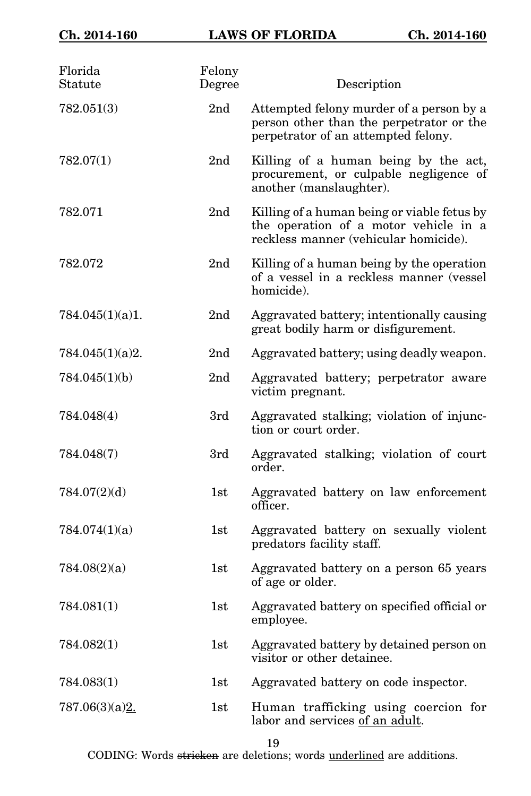| Florida<br>Statute | Felony<br>Degree | Description                                                                                                                   |
|--------------------|------------------|-------------------------------------------------------------------------------------------------------------------------------|
| 782.051(3)         | 2 <sub>nd</sub>  | Attempted felony murder of a person by a<br>person other than the perpetrator or the<br>perpetrator of an attempted felony.   |
| 782.07(1)          | 2 <sub>nd</sub>  | Killing of a human being by the act,<br>procurement, or culpable negligence of<br>another (manslaughter).                     |
| 782.071            | 2nd              | Killing of a human being or viable fetus by<br>the operation of a motor vehicle in a<br>reckless manner (vehicular homicide). |
| 782.072            | 2 <sub>nd</sub>  | Killing of a human being by the operation<br>of a vessel in a reckless manner (vessel<br>homicide).                           |
| 784.045(1)(a)1.    | 2nd              | Aggravated battery; intentionally causing<br>great bodily harm or disfigurement.                                              |
| 784.045(1)(a)2.    | 2 <sub>nd</sub>  | Aggravated battery; using deadly weapon.                                                                                      |
| 784.045(1)(b)      | 2 <sub>nd</sub>  | Aggravated battery; perpetrator aware<br>victim pregnant.                                                                     |
| 784.048(4)         | 3rd              | Aggravated stalking; violation of injunc-<br>tion or court order.                                                             |
| 784.048(7)         | 3rd              | Aggravated stalking; violation of court<br>order.                                                                             |
| 784.07(2)(d)       | 1st              | Aggravated battery on law enforcement<br>officer.                                                                             |
| 784.074(1)(a)      | 1st              | Aggravated battery on sexually violent<br>predators facility staff.                                                           |
| 784.08(2)(a)       | 1st              | Aggravated battery on a person 65 years<br>of age or older.                                                                   |
| 784.081(1)         | $1\mathrm{st}$   | Aggravated battery on specified official or<br>employee.                                                                      |
| 784.082(1)         | 1st              | Aggravated battery by detained person on<br>visitor or other detainee.                                                        |
| 784.083(1)         | 1st              | Aggravated battery on code inspector.                                                                                         |
| 787.06(3)(a)2.     | 1st              | Human trafficking using coercion for<br>labor and services of an adult.                                                       |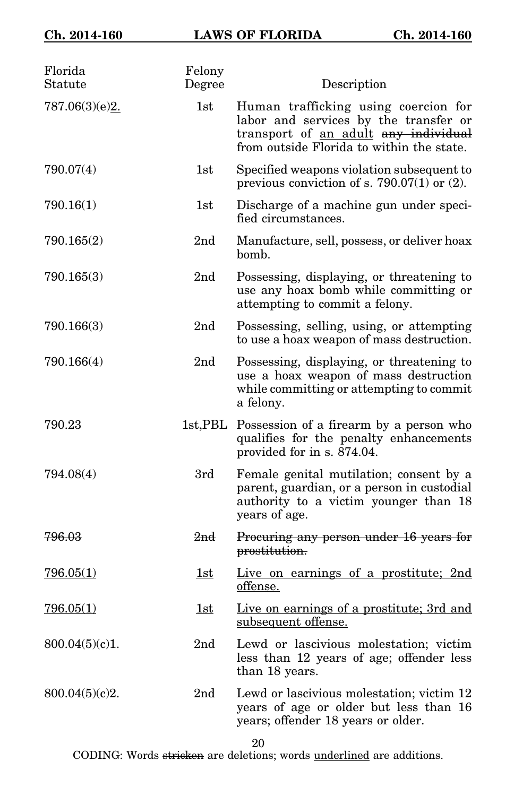| Florida<br>Statute | Felony<br>Degree | Description                                                                                                                                                        |
|--------------------|------------------|--------------------------------------------------------------------------------------------------------------------------------------------------------------------|
| 787.06(3)(e)2.     | 1st              | Human trafficking using coercion for<br>labor and services by the transfer or<br>transport of an adult any individual<br>from outside Florida to within the state. |
| 790.07(4)          | 1st              | Specified weapons violation subsequent to<br>previous conviction of s. 790.07(1) or $(2)$ .                                                                        |
| 790.16(1)          | 1st              | Discharge of a machine gun under speci-<br>fied circumstances.                                                                                                     |
| 790.165(2)         | 2 <sub>nd</sub>  | Manufacture, sell, possess, or deliver hoax<br>bomb.                                                                                                               |
| 790.165(3)         | 2 <sub>nd</sub>  | Possessing, displaying, or threatening to<br>use any hoax bomb while committing or<br>attempting to commit a felony.                                               |
| 790.166(3)         | 2nd              | Possessing, selling, using, or attempting<br>to use a hoax weapon of mass destruction.                                                                             |
| 790.166(4)         | 2 <sub>nd</sub>  | Possessing, displaying, or threatening to<br>use a hoax weapon of mass destruction<br>while committing or attempting to commit<br>a felony.                        |
| 790.23             |                  | 1st, PBL Possession of a firearm by a person who<br>qualifies for the penalty enhancements<br>provided for in s. 874.04.                                           |
| 794.08(4)          | 3rd              | Female genital mutilation; consent by a<br>parent, guardian, or a person in custodial<br>authority to a victim younger than 18<br>years of age.                    |
| 796.03             | 2 <sub>nd</sub>  | Procuring any person under 16 years for<br>prostitution.                                                                                                           |
| 796.05(1)          | 1st              | Live on earnings of a prostitute; 2nd<br>offense.                                                                                                                  |
| 796.05(1)          | 1st              | Live on earnings of a prostitute; 3rd and<br>subsequent offense.                                                                                                   |
| 800.04(5)(c)1.     | 2 <sub>nd</sub>  | Lewd or lascivious molestation; victim<br>less than 12 years of age; offender less<br>than 18 years.                                                               |
| 800.04(5)(c)2.     | 2 <sub>nd</sub>  | Lewd or lascivious molestation; victim 12<br>years of age or older but less than 16<br>years; offender 18 years or older.                                          |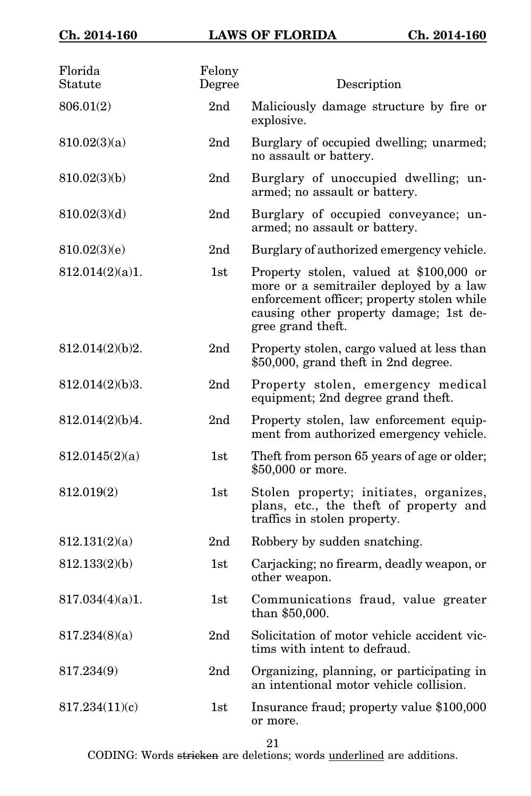| Florida<br>Statute | Felony<br>Degree | Description                                                                                                                                                                                     |
|--------------------|------------------|-------------------------------------------------------------------------------------------------------------------------------------------------------------------------------------------------|
| 806.01(2)          | 2nd              | Maliciously damage structure by fire or<br>explosive.                                                                                                                                           |
| 810.02(3)(a)       | 2nd              | Burglary of occupied dwelling; unarmed;<br>no assault or battery.                                                                                                                               |
| 810.02(3)(b)       | 2nd              | Burglary of unoccupied dwelling; un-<br>armed; no assault or battery.                                                                                                                           |
| 810.02(3)(d)       | 2nd              | Burglary of occupied conveyance; un-<br>armed; no assault or battery.                                                                                                                           |
| 810.02(3)(e)       | 2 <sub>nd</sub>  | Burglary of authorized emergency vehicle.                                                                                                                                                       |
| 812.014(2)(a)1.    | 1st              | Property stolen, valued at \$100,000 or<br>more or a semitrailer deployed by a law<br>enforcement officer; property stolen while<br>causing other property damage; 1st de-<br>gree grand theft. |
| 812.014(2)(b)2.    | 2 <sub>nd</sub>  | Property stolen, cargo valued at less than<br>\$50,000, grand theft in 2nd degree.                                                                                                              |
| 812.014(2)(b)3.    | 2nd              | Property stolen, emergency medical<br>equipment; 2nd degree grand theft.                                                                                                                        |
| 812.014(2)(b)4.    | 2nd              | Property stolen, law enforcement equip-<br>ment from authorized emergency vehicle.                                                                                                              |
| 812.0145(2)(a)     | 1st              | Theft from person 65 years of age or older;<br>\$50,000 or more.                                                                                                                                |
| 812.019(2)         | 1st              | Stolen property; initiates, organizes,<br>plans, etc., the theft of property and<br>traffics in stolen property.                                                                                |
| 812.131(2)(a)      | 2nd              | Robbery by sudden snatching.                                                                                                                                                                    |
| 812.133(2)(b)      | 1st              | Carjacking; no firearm, deadly weapon, or<br>other weapon.                                                                                                                                      |
| 817.034(4)(a)1.    | 1st              | Communications fraud, value greater<br>than \$50,000.                                                                                                                                           |
| 817.234(8)(a)      | 2nd              | Solicitation of motor vehicle accident vic-<br>tims with intent to defraud.                                                                                                                     |
| 817.234(9)         | 2nd              | Organizing, planning, or participating in<br>an intentional motor vehicle collision.                                                                                                            |
| 817.234(11)(c)     | 1st              | Insurance fraud; property value \$100,000<br>or more.                                                                                                                                           |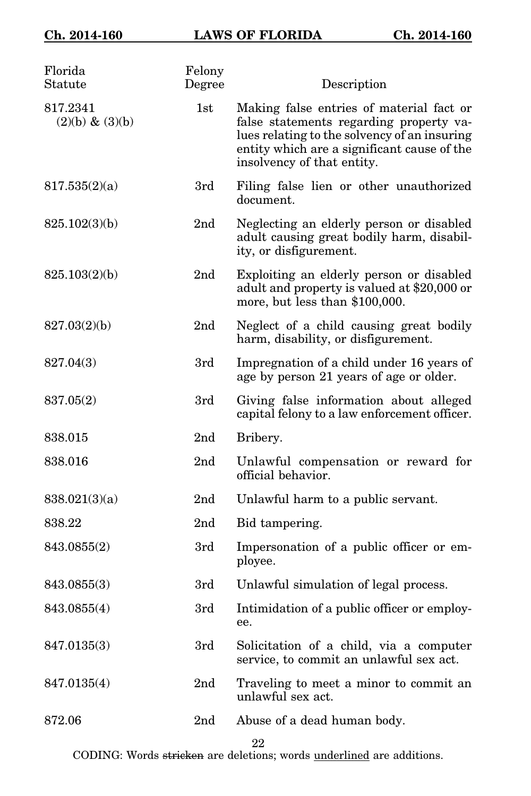| Florida<br>Statute             | Felony<br>Degree | Description                                                                                                                                                                                                      |
|--------------------------------|------------------|------------------------------------------------------------------------------------------------------------------------------------------------------------------------------------------------------------------|
| 817.2341<br>$(2)(b) \& (3)(b)$ | 1st              | Making false entries of material fact or<br>false statements regarding property va-<br>lues relating to the solvency of an insuring<br>entity which are a significant cause of the<br>insolvency of that entity. |
| 817.535(2)(a)                  | 3rd              | Filing false lien or other unauthorized<br>document.                                                                                                                                                             |
| 825.102(3)(b)                  | 2 <sub>nd</sub>  | Neglecting an elderly person or disabled<br>adult causing great bodily harm, disabil-<br>ity, or disfigurement.                                                                                                  |
| 825.103(2)(b)                  | 2 <sub>nd</sub>  | Exploiting an elderly person or disabled<br>adult and property is valued at \$20,000 or<br>more, but less than \$100,000.                                                                                        |
| 827.03(2)(b)                   | 2 <sub>nd</sub>  | Neglect of a child causing great bodily<br>harm, disability, or disfigurement.                                                                                                                                   |
| 827.04(3)                      | 3rd              | Impregnation of a child under 16 years of<br>age by person 21 years of age or older.                                                                                                                             |
| 837.05(2)                      | 3rd              | Giving false information about alleged<br>capital felony to a law enforcement officer.                                                                                                                           |
| 838.015                        | 2 <sub>nd</sub>  | Bribery.                                                                                                                                                                                                         |
| 838.016                        | 2nd              | Unlawful compensation or reward for<br>official behavior.                                                                                                                                                        |
| 838.021(3)(a)                  | 2 <sub>nd</sub>  | Unlawful harm to a public servant.                                                                                                                                                                               |
| 838.22                         | 2 <sub>nd</sub>  | Bid tampering.                                                                                                                                                                                                   |
| 843.0855(2)                    | 3rd              | Impersonation of a public officer or em-<br>ployee.                                                                                                                                                              |
| 843.0855(3)                    | 3rd              | Unlawful simulation of legal process.                                                                                                                                                                            |
| 843.0855(4)                    | 3rd              | Intimidation of a public officer or employ-<br>ee.                                                                                                                                                               |
| 847.0135(3)                    | 3rd              | Solicitation of a child, via a computer<br>service, to commit an unlawful sex act.                                                                                                                               |
| 847.0135(4)                    | 2 <sub>nd</sub>  | Traveling to meet a minor to commit an<br>unlawful sex act.                                                                                                                                                      |
| 872.06                         | 2 <sub>nd</sub>  | Abuse of a dead human body.                                                                                                                                                                                      |
|                                |                  |                                                                                                                                                                                                                  |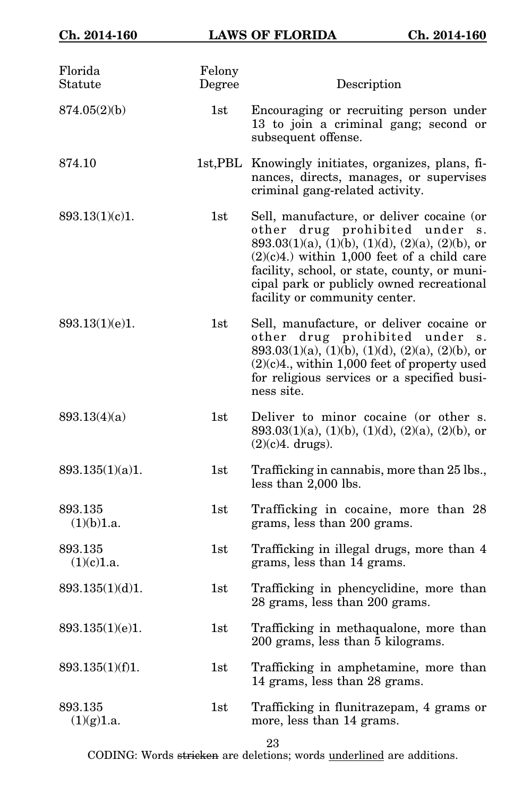| Florida<br>Statute    | Felony<br>Degree | Description                                                                                                                                                                                                                                                                                                        |
|-----------------------|------------------|--------------------------------------------------------------------------------------------------------------------------------------------------------------------------------------------------------------------------------------------------------------------------------------------------------------------|
| 874.05(2)(b)          | 1st              | Encouraging or recruiting person under<br>13 to join a criminal gang; second or<br>subsequent offense.                                                                                                                                                                                                             |
| 874.10                |                  | 1st, PBL Knowingly initiates, organizes, plans, fi-<br>nances, directs, manages, or supervises<br>criminal gang-related activity.                                                                                                                                                                                  |
| 893.13(1)(c)1.        | 1st              | Sell, manufacture, or deliver cocaine (or<br>other drug prohibited under<br>S.<br>893.03(1)(a), (1)(b), (1)(d), (2)(a), (2)(b), or<br>$(2)(c)4$ .) within 1,000 feet of a child care<br>facility, school, or state, county, or muni-<br>cipal park or publicly owned recreational<br>facility or community center. |
| 893.13(1)(e)1.        | 1st              | Sell, manufacture, or deliver cocaine or<br>other drug prohibited under<br>S.<br>893.03(1)(a), (1)(b), (1)(d), (2)(a), (2)(b), or<br>$(2)(c)4$ ., within 1,000 feet of property used<br>for religious services or a specified busi-<br>ness site.                                                                  |
| 893.13(4)(a)          | 1st              | Deliver to minor cocaine (or other s.<br>893.03(1)(a), (1)(b), (1)(d), (2)(a), (2)(b), or<br>$(2)(c)4.$ drugs).                                                                                                                                                                                                    |
| 893.135(1)(a)1.       | 1st              | Trafficking in cannabis, more than 25 lbs.,<br>less than 2,000 lbs.                                                                                                                                                                                                                                                |
| 893.135<br>(1)(b)1.a. | 1st              | Trafficking in cocaine, more than 28<br>grams, less than 200 grams.                                                                                                                                                                                                                                                |
| 893.135<br>(1)(c)1.a. | 1st              | Trafficking in illegal drugs, more than 4<br>grams, less than 14 grams.                                                                                                                                                                                                                                            |
| 893.135(1)(d)1.       | 1st              | Trafficking in phencyclidine, more than<br>28 grams, less than 200 grams.                                                                                                                                                                                                                                          |
| 893.135(1)(e)1.       | 1st              | Trafficking in methaqualone, more than<br>200 grams, less than 5 kilograms.                                                                                                                                                                                                                                        |
| 893.135(1)(f)1.       | 1st              | Trafficking in amphetamine, more than<br>14 grams, less than 28 grams.                                                                                                                                                                                                                                             |
| 893.135<br>(1)(g)1.a. | 1st              | Trafficking in flunitrazepam, 4 grams or<br>more, less than 14 grams.                                                                                                                                                                                                                                              |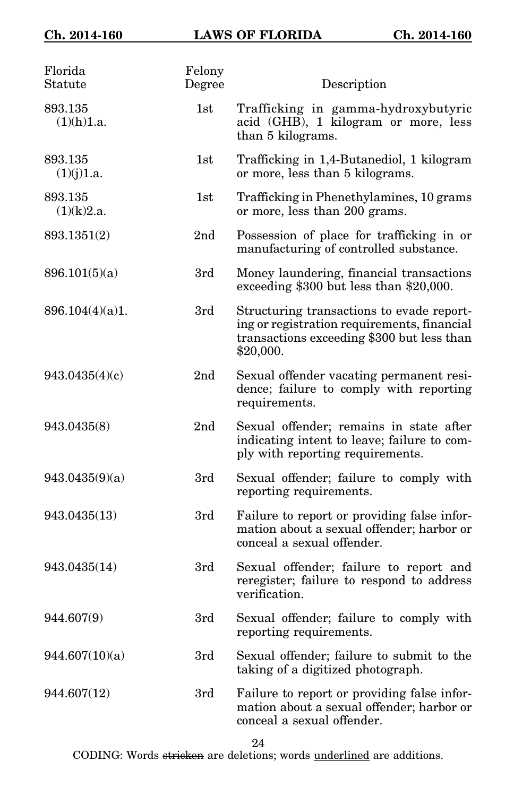| Florida<br>Statute    | Felony<br>Degree | Description                                                                                                                                         |
|-----------------------|------------------|-----------------------------------------------------------------------------------------------------------------------------------------------------|
| 893.135<br>(1)(h)1.a. | 1st              | Trafficking in gamma-hydroxybutyric<br>acid (GHB), 1 kilogram or more, less<br>than 5 kilograms.                                                    |
| 893.135<br>(1)(j)1.a. | 1st              | Trafficking in 1,4-Butanediol, 1 kilogram<br>or more, less than 5 kilograms.                                                                        |
| 893.135<br>(1)(k)2.a. | 1st              | Trafficking in Phenethylamines, 10 grams<br>or more, less than 200 grams.                                                                           |
| 893.1351(2)           | 2 <sub>nd</sub>  | Possession of place for trafficking in or<br>manufacturing of controlled substance.                                                                 |
| 896.101(5)(a)         | 3rd              | Money laundering, financial transactions<br>exceeding \$300 but less than \$20,000.                                                                 |
| 896.104(4)(a)1.       | 3rd              | Structuring transactions to evade report-<br>ing or registration requirements, financial<br>transactions exceeding \$300 but less than<br>\$20,000. |
| 943.0435(4)(c)        | 2 <sub>nd</sub>  | Sexual offender vacating permanent resi-<br>dence; failure to comply with reporting<br>requirements.                                                |
| 943.0435(8)           | 2 <sub>nd</sub>  | Sexual offender; remains in state after<br>indicating intent to leave; failure to com-<br>ply with reporting requirements.                          |
| 943.0435(9)(a)        | 3rd              | Sexual offender; failure to comply with<br>reporting requirements.                                                                                  |
| 943.0435(13)          | 3rd              | Failure to report or providing false infor-<br>mation about a sexual offender; harbor or<br>conceal a sexual offender.                              |
| 943.0435(14)          | 3rd              | Sexual offender; failure to report and<br>reregister; failure to respond to address<br>verification.                                                |
| 944.607(9)            | 3rd              | Sexual offender; failure to comply with<br>reporting requirements.                                                                                  |
| 944.607(10)(a)        | 3rd              | Sexual offender; failure to submit to the<br>taking of a digitized photograph.                                                                      |
| 944.607(12)           | 3rd              | Failure to report or providing false infor-<br>mation about a sexual offender; harbor or<br>conceal a sexual offender.                              |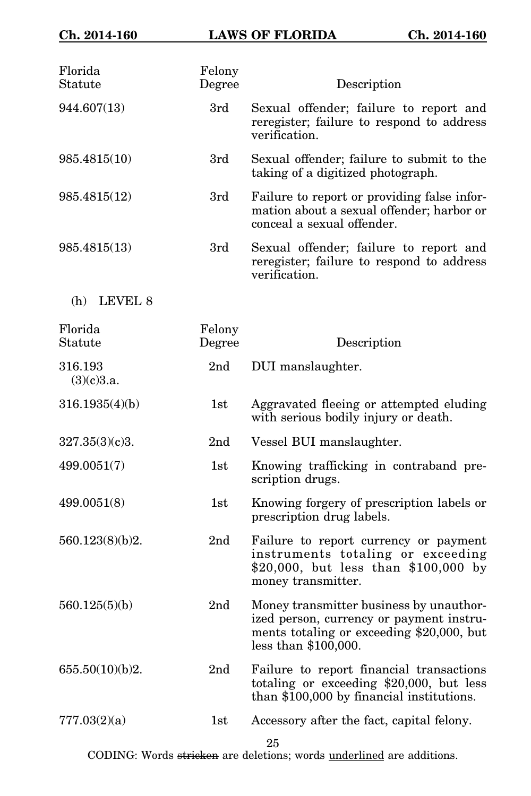| Florida<br>Statute    | Felony<br>Degree | Description                                                                                                                                                |
|-----------------------|------------------|------------------------------------------------------------------------------------------------------------------------------------------------------------|
| 944.607(13)           | 3rd              | Sexual offender; failure to report and<br>reregister; failure to respond to address<br>verification.                                                       |
| 985.4815(10)          | 3rd              | Sexual offender; failure to submit to the<br>taking of a digitized photograph.                                                                             |
| 985.4815(12)          | 3rd              | Failure to report or providing false infor-<br>mation about a sexual offender; harbor or<br>conceal a sexual offender.                                     |
| 985.4815(13)          | 3rd              | Sexual offender; failure to report and<br>reregister; failure to respond to address<br>verification.                                                       |
| LEVEL 8<br>(h)        |                  |                                                                                                                                                            |
| Florida<br>Statute    | Felony<br>Degree | Description                                                                                                                                                |
| 316.193<br>(3)(c)3.a. | 2 <sub>nd</sub>  | DUI manslaughter.                                                                                                                                          |
| 316.1935(4)(b)        | 1st              | Aggravated fleeing or attempted eluding<br>with serious bodily injury or death.                                                                            |
| 327.35(3)(c)3.        | 2 <sub>nd</sub>  | Vessel BUI manslaughter.                                                                                                                                   |
| 499.0051(7)           | 1st              | Knowing trafficking in contraband pre-<br>scription drugs.                                                                                                 |
| 499.0051(8)           | 1st              | Knowing forgery of prescription labels or<br>prescription drug labels.                                                                                     |
| 560.123(8)(b)2.       | 2 <sub>nd</sub>  | Failure to report currency or payment<br>instruments totaling or exceeding<br>\$20,000, but less than \$100,000 by<br>money transmitter.                   |
| 560.125(5)(b)         | 2 <sub>nd</sub>  | Money transmitter business by unauthor-<br>ized person, currency or payment instru-<br>ments totaling or exceeding \$20,000, but<br>less than $$100,000$ . |
| 655.50(10)(b)2.       | 2 <sub>nd</sub>  | Failure to report financial transactions<br>totaling or exceeding $$20,000$ , but less<br>than \$100,000 by financial institutions.                        |
| 777.03(2)(a)          | 1st              | Accessory after the fact, capital felony.<br>25                                                                                                            |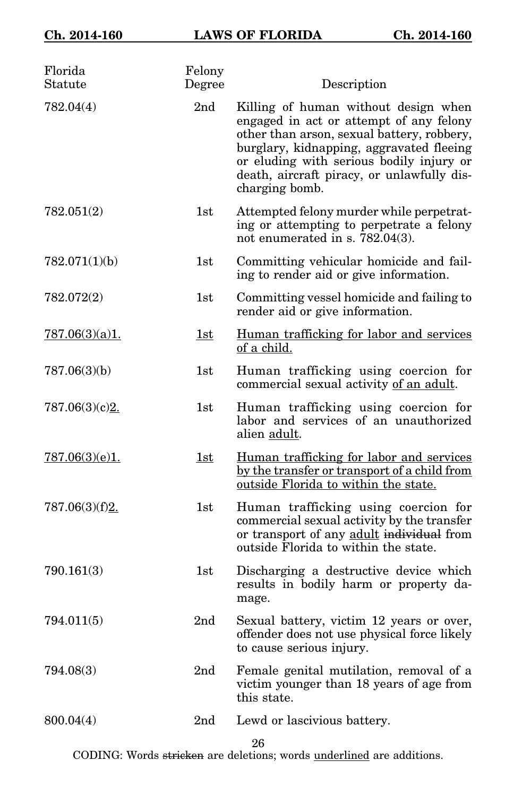| Florida<br>Statute | Felony<br>Degree | Description                                                                                                                                                                                                                                                                           |
|--------------------|------------------|---------------------------------------------------------------------------------------------------------------------------------------------------------------------------------------------------------------------------------------------------------------------------------------|
| 782.04(4)          | 2nd              | Killing of human without design when<br>engaged in act or attempt of any felony<br>other than arson, sexual battery, robbery,<br>burglary, kidnapping, aggravated fleeing<br>or eluding with serious bodily injury or<br>death, aircraft piracy, or unlawfully dis-<br>charging bomb. |
| 782.051(2)         | 1st              | Attempted felony murder while perpetrat-<br>ing or attempting to perpetrate a felony<br>not enumerated in s. $782.04(3)$ .                                                                                                                                                            |
| 782.071(1)(b)      | 1st              | Committing vehicular homicide and fail-<br>ing to render aid or give information.                                                                                                                                                                                                     |
| 782.072(2)         | 1st              | Committing vessel homicide and failing to<br>render aid or give information.                                                                                                                                                                                                          |
| 787.06(3)(a)1.     | 1st              | Human trafficking for labor and services<br>of a child.                                                                                                                                                                                                                               |
| 787.06(3)(b)       | 1st              | Human trafficking using coercion for<br>commercial sexual activity of an adult.                                                                                                                                                                                                       |
| 787.06(3)(c)2.     | 1st              | Human trafficking using coercion for<br>labor and services of an unauthorized<br>alien adult.                                                                                                                                                                                         |
| 787.06(3)(e)1.     | 1st              | Human trafficking for labor and services<br>by the transfer or transport of a child from<br>outside Florida to within the state.                                                                                                                                                      |
| 787.06(3)(f)2.     | 1st              | Human trafficking using coercion for<br>commercial sexual activity by the transfer<br>or transport of any adult individual from<br>outside Florida to within the state.                                                                                                               |
| 790.161(3)         | 1st              | Discharging a destructive device which<br>results in bodily harm or property da-<br>mage.                                                                                                                                                                                             |
| 794.011(5)         | 2nd              | Sexual battery, victim 12 years or over,<br>offender does not use physical force likely<br>to cause serious injury.                                                                                                                                                                   |
| 794.08(3)          | 2nd              | Female genital mutilation, removal of a<br>victim younger than 18 years of age from<br>this state.                                                                                                                                                                                    |
| 800.04(4)          | 2 <sub>nd</sub>  | Lewd or lascivious battery.                                                                                                                                                                                                                                                           |
|                    |                  |                                                                                                                                                                                                                                                                                       |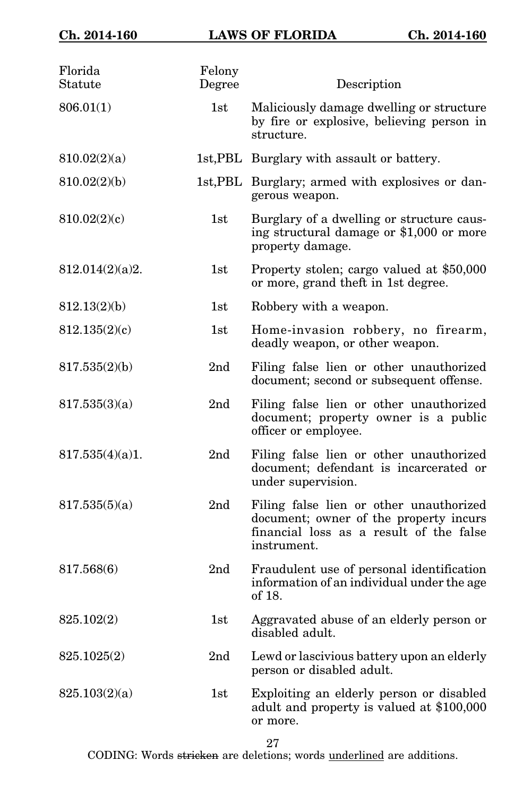| Florida<br>Statute | Felony<br>Degree | Description                                                                                                                                 |
|--------------------|------------------|---------------------------------------------------------------------------------------------------------------------------------------------|
| 806.01(1)          | 1st              | Maliciously damage dwelling or structure<br>by fire or explosive, believing person in<br>structure.                                         |
| 810.02(2)(a)       |                  | 1st, PBL Burglary with assault or battery.                                                                                                  |
| 810.02(2)(b)       |                  | 1st, PBL Burglary; armed with explosives or dan-<br>gerous weapon.                                                                          |
| 810.02(2)(c)       | $1\mathrm{st}$   | Burglary of a dwelling or structure caus-<br>ing structural damage or \$1,000 or more<br>property damage.                                   |
| 812.014(2)(a)2.    | $1\mathrm{st}$   | Property stolen; cargo valued at \$50,000<br>or more, grand theft in 1st degree.                                                            |
| 812.13(2)(b)       | 1st              | Robbery with a weapon.                                                                                                                      |
| 812.135(2)(c)      | 1st              | Home-invasion robbery, no firearm,<br>deadly weapon, or other weapon.                                                                       |
| 817.535(2)(b)      | 2 <sub>nd</sub>  | Filing false lien or other unauthorized<br>document; second or subsequent offense.                                                          |
| 817.535(3)(a)      | 2 <sub>nd</sub>  | Filing false lien or other unauthorized<br>document; property owner is a public<br>officer or employee.                                     |
| 817.535(4)(a)1.    | 2 <sub>nd</sub>  | Filing false lien or other unauthorized<br>document; defendant is incarcerated or<br>under supervision.                                     |
| 817.535(5)(a)      | 2 <sub>nd</sub>  | Filing false lien or other unauthorized<br>document; owner of the property incurs<br>financial loss as a result of the false<br>instrument. |
| 817.568(6)         | 2 <sub>nd</sub>  | Fraudulent use of personal identification<br>information of an individual under the age<br>of 18.                                           |
| 825.102(2)         | 1st              | Aggravated abuse of an elderly person or<br>disabled adult.                                                                                 |
| 825.1025(2)        | 2nd              | Lewd or lascivious battery upon an elderly<br>person or disabled adult.                                                                     |
| 825.103(2)(a)      | 1st              | Exploiting an elderly person or disabled<br>adult and property is valued at \$100,000<br>or more.                                           |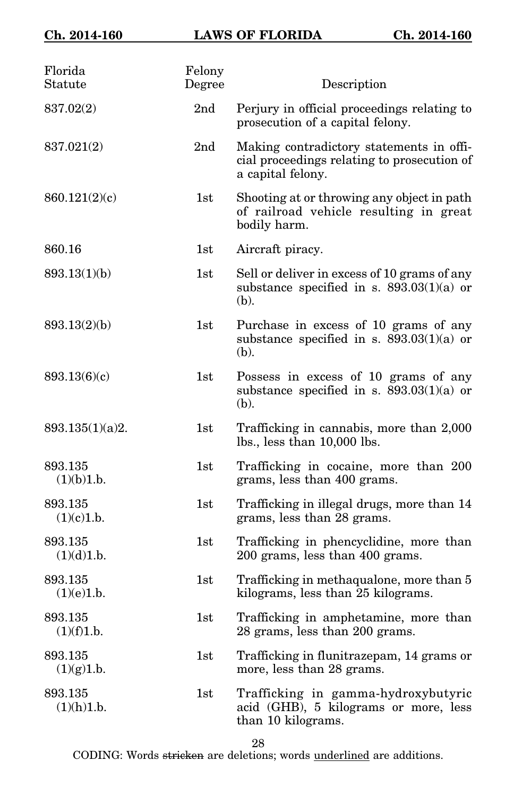| Florida<br>Statute    | Felony<br>Degree | Description                                                                                                  |
|-----------------------|------------------|--------------------------------------------------------------------------------------------------------------|
| 837.02(2)             | 2nd              | Perjury in official proceedings relating to<br>prosecution of a capital felony.                              |
| 837.021(2)            | 2 <sub>nd</sub>  | Making contradictory statements in offi-<br>cial proceedings relating to prosecution of<br>a capital felony. |
| 860.121(2)(c)         | 1st              | Shooting at or throwing any object in path<br>of railroad vehicle resulting in great<br>bodily harm.         |
| 860.16                | 1st              | Aircraft piracy.                                                                                             |
| 893.13(1)(b)          | 1st              | Sell or deliver in excess of 10 grams of any<br>substance specified in s. $893.03(1)(a)$ or<br>(b).          |
| 893.13(2)(b)          | 1st              | Purchase in excess of 10 grams of any<br>substance specified in s. $893.03(1)(a)$ or<br>(b).                 |
| 893.13(6)(c)          | 1st              | Possess in excess of 10 grams of any<br>substance specified in s. $893.03(1)(a)$ or<br>(b).                  |
| 893.135(1)(a)2.       | 1st              | Trafficking in cannabis, more than 2,000<br>$lbs.$ , less than $10,000$ lbs.                                 |
| 893.135<br>(1)(b)1.b. | 1st              | Trafficking in cocaine, more than 200<br>grams, less than 400 grams.                                         |
| 893.135<br>(1)(c)1.b. | 1st              | Trafficking in illegal drugs, more than 14<br>grams, less than 28 grams.                                     |
| 893.135<br>(1)(d)1.b. | 1st              | Trafficking in phencyclidine, more than<br>200 grams, less than 400 grams.                                   |
| 893.135<br>(1)(e)1.b. | 1st              | Trafficking in methaqualone, more than 5<br>kilograms, less than 25 kilograms.                               |
| 893.135<br>(1)(f)1.b. | $1\mathrm{st}$   | Trafficking in amphetamine, more than<br>28 grams, less than 200 grams.                                      |
| 893.135<br>(1)(g)1.b. | 1st              | Trafficking in flunitrazepam, 14 grams or<br>more, less than 28 grams.                                       |
| 893.135<br>(1)(h)1.b. | 1st              | Trafficking in gamma-hydroxybutyric<br>acid (GHB), 5 kilograms or more, less<br>than 10 kilograms.           |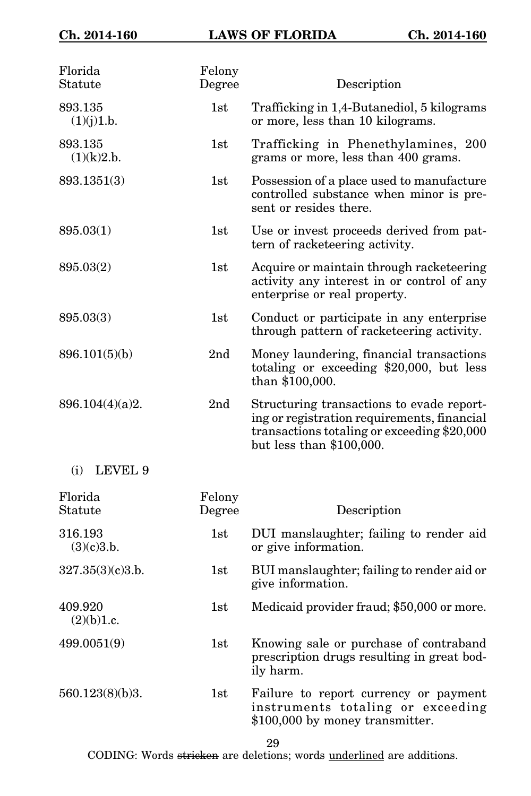| Florida<br>Statute    | Felony<br>Degree | Description                                                                                                                                                           |
|-----------------------|------------------|-----------------------------------------------------------------------------------------------------------------------------------------------------------------------|
| 893.135<br>(1)(j)1.b. | 1st              | Trafficking in 1,4-Butanediol, 5 kilograms<br>or more, less than 10 kilograms.                                                                                        |
| 893.135<br>(1)(k)2.b. | 1st              | Trafficking in Phenethylamines, 200<br>grams or more, less than 400 grams.                                                                                            |
| 893.1351(3)           | 1st              | Possession of a place used to manufacture<br>controlled substance when minor is pre-<br>sent or resides there.                                                        |
| 895.03(1)             | 1st              | Use or invest proceeds derived from pat-<br>tern of racketeering activity.                                                                                            |
| 895.03(2)             | 1st              | Acquire or maintain through racketeering<br>activity any interest in or control of any<br>enterprise or real property.                                                |
| 895.03(3)             | 1st              | Conduct or participate in any enterprise<br>through pattern of racketeering activity.                                                                                 |
| 896.101(5)(b)         | 2 <sub>nd</sub>  | Money laundering, financial transactions<br>totaling or exceeding $$20,000$ , but less<br>than \$100,000.                                                             |
| 896.104(4)(a)2.       | 2nd              | Structuring transactions to evade report-<br>ing or registration requirements, financial<br>transactions totaling or exceeding \$20,000<br>but less than $$100,000$ . |
| LEVEL 9<br>(i)        |                  |                                                                                                                                                                       |
| Florida<br>Statute    | Felony<br>Degree | Description                                                                                                                                                           |
| 316.193<br>(3)(c)3.b. | 1st              | DUI manslaughter; failing to render aid<br>or give information.                                                                                                       |
| 327.35(3)(c)3.b.      | 1st              | BUI manslaughter; failing to render aid or<br>give information.                                                                                                       |
| 409.920<br>(2)(b)1.c. | 1st              | Medicaid provider fraud; \$50,000 or more.                                                                                                                            |
| 499.0051(9)           | 1st              | Knowing sale or purchase of contraband<br>prescription drugs resulting in great bod-<br>ily harm.                                                                     |
| 560.123(8)(b)3.       | 1st              | Failure to report currency or payment<br>instruments totaling or exceeding<br>\$100,000 by money transmitter.                                                         |
|                       |                  | 29                                                                                                                                                                    |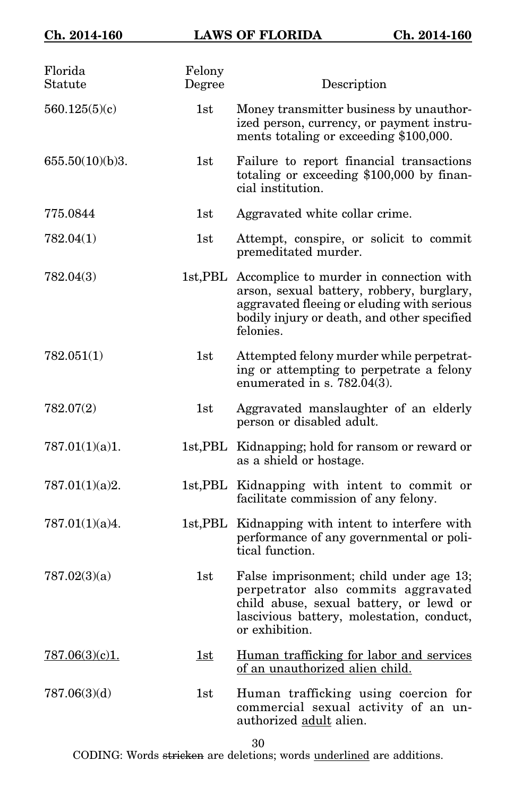| Florida<br>Statute | Felony<br>Degree | Description                                                                                                                                                                                             |
|--------------------|------------------|---------------------------------------------------------------------------------------------------------------------------------------------------------------------------------------------------------|
| 560.125(5)(c)      | 1st              | Money transmitter business by unauthor-<br>ized person, currency, or payment instru-<br>ments totaling or exceeding \$100,000.                                                                          |
| 655.50(10)(b)3.    | 1st              | Failure to report financial transactions<br>totaling or exceeding \$100,000 by finan-<br>cial institution.                                                                                              |
| 775.0844           | 1st              | Aggravated white collar crime.                                                                                                                                                                          |
| 782.04(1)          | 1st              | Attempt, conspire, or solicit to commit<br>premeditated murder.                                                                                                                                         |
| 782.04(3)          |                  | 1st, PBL Accomplice to murder in connection with<br>arson, sexual battery, robbery, burglary,<br>aggravated fleeing or eluding with serious<br>bodily injury or death, and other specified<br>felonies. |
| 782.051(1)         | 1st              | Attempted felony murder while perpetrat-<br>ing or attempting to perpetrate a felony<br>enumerated in s. $782.04(3)$ .                                                                                  |
| 782.07(2)          | 1st              | Aggravated manslaughter of an elderly<br>person or disabled adult.                                                                                                                                      |
| 787.01(1)(a)1.     |                  | 1st, PBL Kidnapping; hold for ransom or reward or<br>as a shield or hostage.                                                                                                                            |
| 787.01(1)(a)2.     |                  | 1st, PBL Kidnapping with intent to commit or<br>facilitate commission of any felony.                                                                                                                    |
| 787.01(1)(a)4.     |                  | 1st, PBL Kidnapping with intent to interfere with<br>performance of any governmental or poli-<br>tical function.                                                                                        |
| 787.02(3)(a)       | 1st              | False imprisonment; child under age 13;<br>perpetrator also commits aggravated<br>child abuse, sexual battery, or lewd or<br>lascivious battery, molestation, conduct,<br>or exhibition.                |
| 787.06(3)(c)1.     | 1st              | Human trafficking for labor and services<br>of an unauthorized alien child.                                                                                                                             |
| 787.06(3)(d)       | 1st              | Human trafficking using coercion for<br>commercial sexual activity of an un-<br>authorized adult alien.                                                                                                 |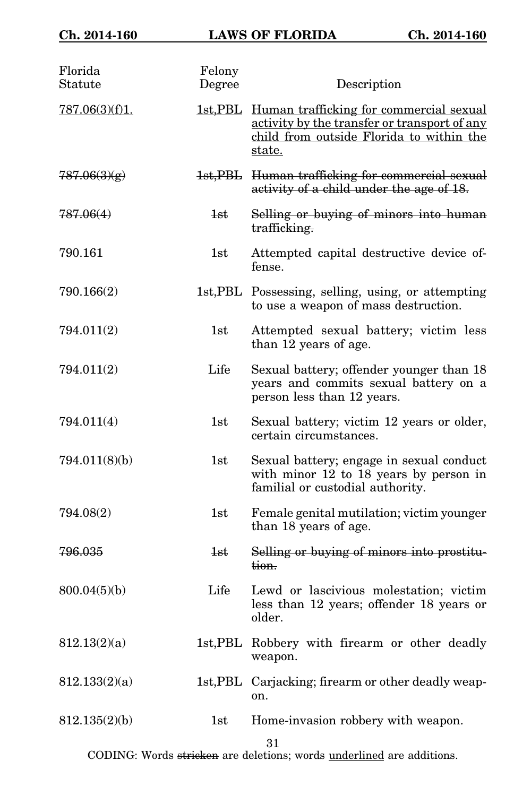| Florida<br>Statute | Felony<br>Degree | Description                                                                                                                                            |
|--------------------|------------------|--------------------------------------------------------------------------------------------------------------------------------------------------------|
| 787.06(3)(f)1.     |                  | 1st, PBL Human trafficking for commercial sexual<br>activity by the transfer or transport of any<br>child from outside Florida to within the<br>state. |
| 787.06(3)(g)       |                  | 1st, PBL Human trafficking for commercial sexual<br>activity of a child under the age of 18.                                                           |
| 787.06(4)          | 4st              | Selling or buying of minors into human<br>trafficking.                                                                                                 |
| 790.161            | 1st              | Attempted capital destructive device of-<br>fense.                                                                                                     |
| 790.166(2)         |                  | 1st, PBL Possessing, selling, using, or attempting<br>to use a weapon of mass destruction.                                                             |
| 794.011(2)         | 1st              | Attempted sexual battery; victim less<br>than 12 years of age.                                                                                         |
| 794.011(2)         | Life             | Sexual battery; offender younger than 18<br>years and commits sexual battery on a<br>person less than 12 years.                                        |
| 794.011(4)         | 1st              | Sexual battery; victim 12 years or older,<br>certain circumstances.                                                                                    |
| 794.011(8)(b)      | 1st              | Sexual battery; engage in sexual conduct<br>with minor 12 to 18 years by person in<br>familial or custodial authority.                                 |
| 794.08(2)          | 1st              | Female genital mutilation; victim younger<br>than 18 years of age.                                                                                     |
| 796.035            | 1st              | Selling or buying of minors into prostitu-<br>tion.                                                                                                    |
| 800.04(5)(b)       | Life             | Lewd or lascivious molestation; victim<br>less than 12 years; offender 18 years or<br>older.                                                           |
| 812.13(2)(a)       |                  | 1st, PBL Robbery with firearm or other deadly<br>weapon.                                                                                               |
| 812.133(2)(a)      |                  | 1st, PBL Carjacking; firearm or other deadly weap-<br>on.                                                                                              |
| 812.135(2)(b)      | 1st              | Home-invasion robbery with weapon.                                                                                                                     |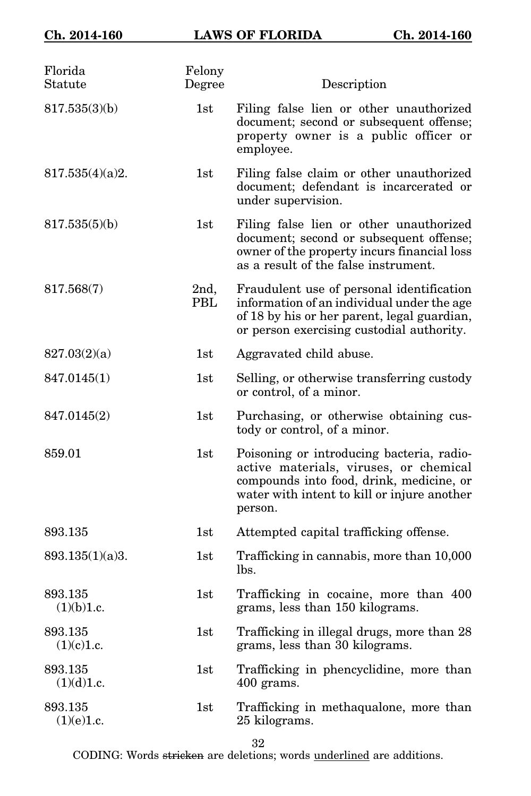| Florida<br>Statute    | Felony<br>Degree | Description                                                                                                                                                                               |
|-----------------------|------------------|-------------------------------------------------------------------------------------------------------------------------------------------------------------------------------------------|
| 817.535(3)(b)         | 1st              | Filing false lien or other unauthorized<br>document; second or subsequent offense;<br>property owner is a public officer or<br>employee.                                                  |
| 817.535(4)(a)2.       | 1st              | Filing false claim or other unauthorized<br>document; defendant is incarcerated or<br>under supervision.                                                                                  |
| 817.535(5)(b)         | 1st              | Filing false lien or other unauthorized<br>document; second or subsequent offense;<br>owner of the property incurs financial loss<br>as a result of the false instrument.                 |
| 817.568(7)            | 2nd,<br>PBL      | Fraudulent use of personal identification<br>information of an individual under the age<br>of 18 by his or her parent, legal guardian,<br>or person exercising custodial authority.       |
| 827.03(2)(a)          | 1st              | Aggravated child abuse.                                                                                                                                                                   |
| 847.0145(1)           | 1st              | Selling, or otherwise transferring custody<br>or control, of a minor.                                                                                                                     |
| 847.0145(2)           | 1st              | Purchasing, or otherwise obtaining cus-<br>tody or control, of a minor.                                                                                                                   |
| 859.01                | 1st              | Poisoning or introducing bacteria, radio-<br>active materials, viruses, or chemical<br>compounds into food, drink, medicine, or<br>water with intent to kill or injure another<br>person. |
| 893.135               | 1st              | Attempted capital trafficking offense.                                                                                                                                                    |
| 893.135(1)(a)3.       | 1st              | Trafficking in cannabis, more than 10,000<br>lbs.                                                                                                                                         |
| 893.135<br>(1)(b)1.c. | 1st              | Trafficking in cocaine, more than 400<br>grams, less than 150 kilograms.                                                                                                                  |
| 893.135<br>(1)(c)1.c. | 1st              | Trafficking in illegal drugs, more than 28<br>grams, less than 30 kilograms.                                                                                                              |
| 893.135<br>(1)(d)1.c. | 1st              | Trafficking in phencyclidine, more than<br>400 grams.                                                                                                                                     |
| 893.135<br>(1)(e)1.c. | 1st              | Trafficking in methaqualone, more than<br>25 kilograms.                                                                                                                                   |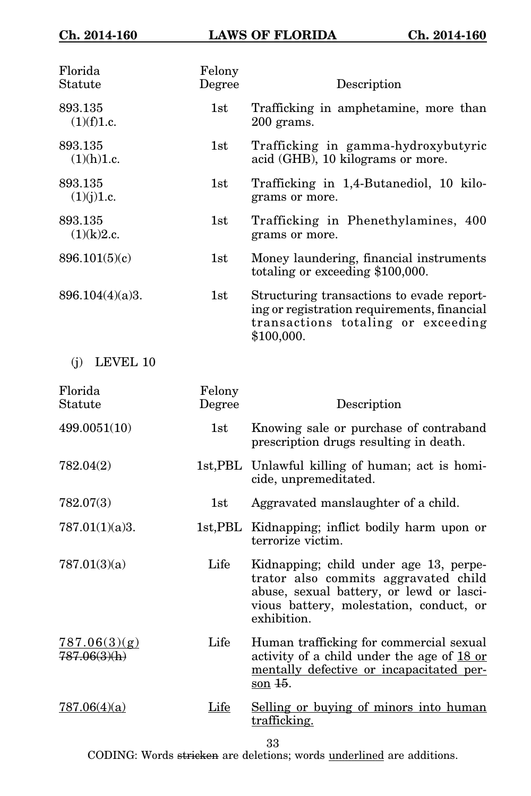| Florida<br>Statute           | Felony<br>Degree | Description                                                                                                                                                                          |
|------------------------------|------------------|--------------------------------------------------------------------------------------------------------------------------------------------------------------------------------------|
| 893.135<br>(1)(f)1.c.        | 1st              | Trafficking in amphetamine, more than<br>200 grams.                                                                                                                                  |
| 893.135<br>(1)(h)1.c.        | 1st              | Trafficking in gamma-hydroxybutyric<br>acid (GHB), 10 kilograms or more.                                                                                                             |
| 893.135<br>(1)(j)1.c.        | 1st              | Trafficking in 1,4-Butanediol, 10 kilo-<br>grams or more.                                                                                                                            |
| 893.135<br>(1)(k)2.c.        | 1st              | Trafficking in Phenethylamines, 400<br>grams or more.                                                                                                                                |
| 896.101(5)(c)                | 1st              | Money laundering, financial instruments<br>totaling or exceeding \$100,000.                                                                                                          |
| 896.104(4)(a)3.              | 1st              | Structuring transactions to evade report-<br>ing or registration requirements, financial<br>transactions totaling or exceeding<br>\$100,000.                                         |
| LEVEL 10<br>(i)              |                  |                                                                                                                                                                                      |
| Florida<br>Statute           | Felony<br>Degree | Description                                                                                                                                                                          |
|                              |                  |                                                                                                                                                                                      |
| 499.0051(10)                 | 1st              | Knowing sale or purchase of contraband<br>prescription drugs resulting in death.                                                                                                     |
| 782.04(2)                    |                  | 1st, PBL Unlawful killing of human; act is homi-<br>cide, unpremeditated.                                                                                                            |
| 782.07(3)                    | 1st              | Aggravated manslaughter of a child.                                                                                                                                                  |
| 787.01(1)(a)3.               |                  | 1st, PBL Kidnapping; inflict bodily harm upon or<br>terrorize victim.                                                                                                                |
| 787.01(3)(a)                 | Life             | Kidnapping; child under age 13, perpe-<br>trator also commits aggravated child<br>abuse, sexual battery, or lewd or lasci-<br>vious battery, molestation, conduct, or<br>exhibition. |
| 787.06(3)(g)<br>787.06(3)(h) | Life             | Human trafficking for commercial sexual<br>activity of a child under the age of 18 or<br>mentally defective or incapacitated per-<br>son $\frac{15}{10}$ .                           |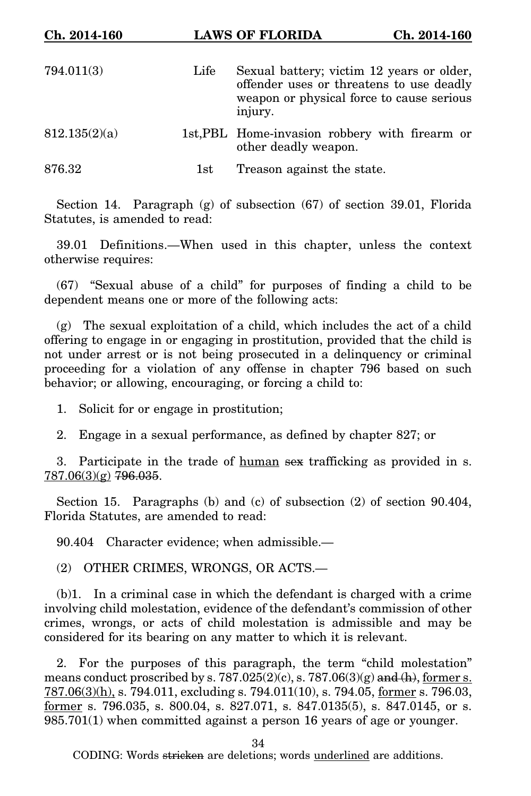| Ch. 2014-160  |      | <b>LAWS OF FLORIDA</b><br>Ch. 2014-160                                                                                                        |
|---------------|------|-----------------------------------------------------------------------------------------------------------------------------------------------|
| 794.011(3)    | Life | Sexual battery; victim 12 years or older,<br>offender uses or threatens to use deadly<br>weapon or physical force to cause serious<br>injury. |
| 812.135(2)(a) |      | 1st, PBL Home-invasion robbery with firearm or<br>other deadly weapon.                                                                        |
| 876.32        | 1st  | Treason against the state.                                                                                                                    |

Section 14. Paragraph (g) of subsection (67) of section 39.01, Florida Statutes, is amended to read:

39.01 Definitions.—When used in this chapter, unless the context otherwise requires:

(67) "Sexual abuse of a child" for purposes of finding a child to be dependent means one or more of the following acts:

(g) The sexual exploitation of a child, which includes the act of a child offering to engage in or engaging in prostitution, provided that the child is not under arrest or is not being prosecuted in a delinquency or criminal proceeding for a violation of any offense in chapter 796 based on such behavior; or allowing, encouraging, or forcing a child to:

1. Solicit for or engage in prostitution;

2. Engage in a sexual performance, as defined by chapter 827; or

3. Participate in the trade of human sex trafficking as provided in s. 787.06(3)(g) 796.035.

Section 15. Paragraphs (b) and (c) of subsection (2) of section 90.404, Florida Statutes, are amended to read:

90.404 Character evidence; when admissible.—

(2) OTHER CRIMES, WRONGS, OR ACTS.—

(b)1. In a criminal case in which the defendant is charged with a crime involving child molestation, evidence of the defendant's commission of other crimes, wrongs, or acts of child molestation is admissible and may be considered for its bearing on any matter to which it is relevant.

2. For the purposes of this paragraph, the term "child molestation" means conduct proscribed by s. 787.025(2)(c), s. 787.06(3)(g) and (h), former s.  $787.06(3)(h)$ , s. 794.011, excluding s. 794.011(10), s. 794.05, former s. 796.03, <u>former</u> s. 796.035, s. 800.04, s. 827.071, s. 847.0135(5), s. 847.0145, or s. 985.701(1) when committed against a person 16 years of age or younger.

34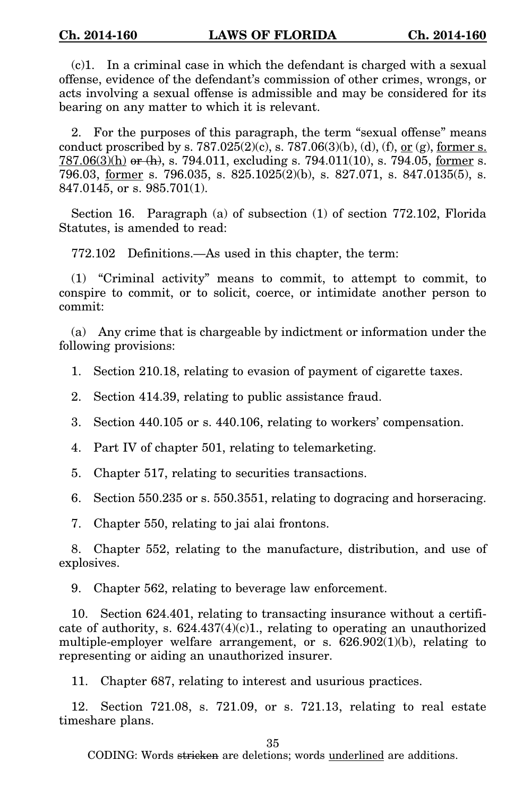(c)1. In a criminal case in which the defendant is charged with a sexual offense, evidence of the defendant's commission of other crimes, wrongs, or acts involving a sexual offense is admissible and may be considered for its bearing on any matter to which it is relevant.

2. For the purposes of this paragraph, the term "sexual offense" means conduct proscribed by s.  $787.025(2)(c)$ , s.  $787.06(3)(b)$ , (d), (f), <u>or (g), former s.</u>  $787.06(3)$ (h) or (h), s. 794.011, excluding s. 794.011(10), s. 794.05, former s. 796.03, former s. 796.035, s. 825.1025(2)(b), s. 827.071, s. 847.0135(5), s. 847.0145, or s. 985.701(1).

Section 16. Paragraph (a) of subsection (1) of section 772.102, Florida Statutes, is amended to read:

772.102 Definitions.—As used in this chapter, the term:

(1) "Criminal activity" means to commit, to attempt to commit, to conspire to commit, or to solicit, coerce, or intimidate another person to commit:

(a) Any crime that is chargeable by indictment or information under the following provisions:

- 1. Section 210.18, relating to evasion of payment of cigarette taxes.
- 2. Section 414.39, relating to public assistance fraud.
- 3. Section 440.105 or s. 440.106, relating to workers' compensation.
- 4. Part IV of chapter 501, relating to telemarketing.
- 5. Chapter 517, relating to securities transactions.

6. Section 550.235 or s. 550.3551, relating to dogracing and horseracing.

7. Chapter 550, relating to jai alai frontons.

8. Chapter 552, relating to the manufacture, distribution, and use of explosives.

9. Chapter 562, relating to beverage law enforcement.

10. Section 624.401, relating to transacting insurance without a certificate of authority, s.  $624.437(4)(c)1$ ., relating to operating an unauthorized multiple-employer welfare arrangement, or s. 626.902(1)(b), relating to representing or aiding an unauthorized insurer.

11. Chapter 687, relating to interest and usurious practices.

12. Section 721.08, s. 721.09, or s. 721.13, relating to real estate timeshare plans.

35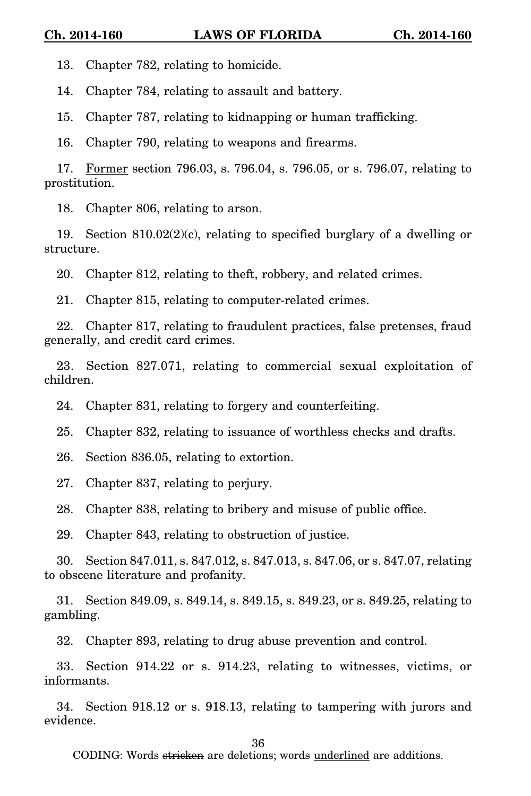13. Chapter 782, relating to homicide.

14. Chapter 784, relating to assault and battery.

15. Chapter 787, relating to kidnapping or human trafficking.

16. Chapter 790, relating to weapons and firearms.

17. Former section 796.03, s. 796.04, s. 796.05, or s. 796.07, relating to prostitution.

18. Chapter 806, relating to arson.

19. Section  $810.02(2)(c)$ , relating to specified burglary of a dwelling or structure.

20. Chapter 812, relating to theft, robbery, and related crimes.

21. Chapter 815, relating to computer-related crimes.

22. Chapter 817, relating to fraudulent practices, false pretenses, fraud generally, and credit card crimes.

23. Section 827.071, relating to commercial sexual exploitation of children.

24. Chapter 831, relating to forgery and counterfeiting.

25. Chapter 832, relating to issuance of worthless checks and drafts.

26. Section 836.05, relating to extortion.

27. Chapter 837, relating to perjury.

28. Chapter 838, relating to bribery and misuse of public office.

29. Chapter 843, relating to obstruction of justice.

30. Section 847.011, s. 847.012, s. 847.013, s. 847.06, or s. 847.07, relating to obscene literature and profanity.

31. Section 849.09, s. 849.14, s. 849.15, s. 849.23, or s. 849.25, relating to gambling.

32. Chapter 893, relating to drug abuse prevention and control.

33. Section 914.22 or s. 914.23, relating to witnesses, victims, or informants.

34. Section 918.12 or s. 918.13, relating to tampering with jurors and evidence.

36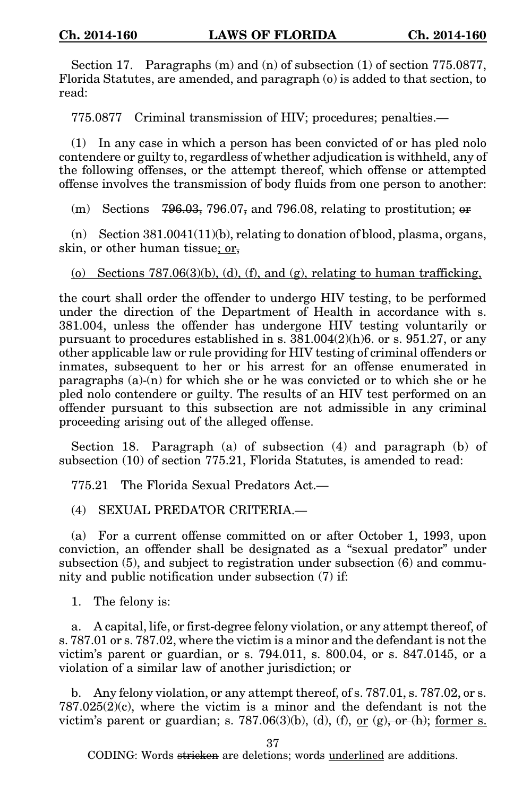Section 17. Paragraphs (m) and (n) of subsection (1) of section 775.0877, Florida Statutes, are amended, and paragraph (o) is added to that section, to read:

775.0877 Criminal transmission of HIV; procedures; penalties.—

(1) In any case in which a person has been convicted of or has pled nolo contendere or guilty to, regardless of whether adjudication is withheld, any of the following offenses, or the attempt thereof, which offense or attempted offense involves the transmission of body fluids from one person to another:

(m) Sections  $796.03$ ,  $796.07$ , and  $796.08$ , relating to prostitution; or

(n) Section  $381.0041(11)(b)$ , relating to donation of blood, plasma, organs, skin, or other human tissue; or,

(o) Sections  $787.06(3)(b)$ , (d), (f), and (g), relating to human trafficking,

the court shall order the offender to undergo HIV testing, to be performed under the direction of the Department of Health in accordance with s. 381.004, unless the offender has undergone HIV testing voluntarily or pursuant to procedures established in s. 381.004(2)(h)6. or s. 951.27, or any other applicable law or rule providing for HIV testing of criminal offenders or inmates, subsequent to her or his arrest for an offense enumerated in paragraphs (a)-(n) for which she or he was convicted or to which she or he pled nolo contendere or guilty. The results of an HIV test performed on an offender pursuant to this subsection are not admissible in any criminal proceeding arising out of the alleged offense.

Section 18. Paragraph (a) of subsection (4) and paragraph (b) of subsection (10) of section 775.21, Florida Statutes, is amended to read:

775.21 The Florida Sexual Predators Act.—

(4) SEXUAL PREDATOR CRITERIA.—

(a) For a current offense committed on or after October 1, 1993, upon conviction, an offender shall be designated as a "sexual predator" under subsection (5), and subject to registration under subsection (6) and community and public notification under subsection (7) if:

1. The felony is:

a. A capital, life, or first-degree felony violation, or any attempt thereof, of s. 787.01 or s. 787.02, where the victim is a minor and the defendant is not the victim's parent or guardian, or s. 794.011, s. 800.04, or s. 847.0145, or a violation of a similar law of another jurisdiction; or

b. Any felony violation, or any attempt thereof, of s. 787.01, s. 787.02, or s.  $787.025(2)(c)$ , where the victim is a minor and the defendant is not the victim's parent or guardian; s. 787.06(3)(b), (d), (f), <u>or (g), or (h); former s.</u>

37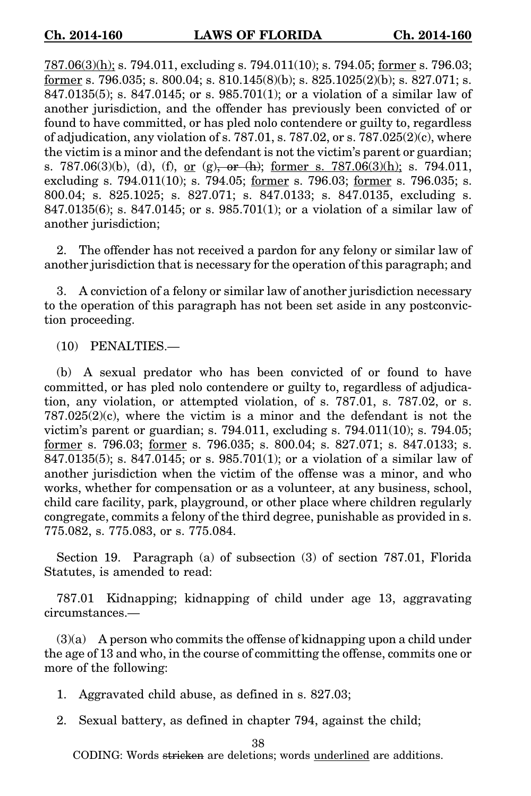787.06(3)(h); s. 794.011, excluding s. 794.011(10); s. 794.05; former s. 796.03; former s. 796.035; s. 800.04; s. 810.145(8)(b); s. 825.1025(2)(b); s. 827.071; s. 847.0135(5); s. 847.0145; or s. 985.701(1); or a violation of a similar law of another jurisdiction, and the offender has previously been convicted of or found to have committed, or has pled nolo contendere or guilty to, regardless of adjudication, any violation of s.  $787.01$ , s.  $787.02$ , or s.  $787.025(2)(c)$ , where the victim is a minor and the defendant is not the victim's parent or guardian; s. 787.06(3)(b), (d), (f), or (g), or (h); former s. 787.06(3)(h); s. 794.011, excluding s. 794.011(10); s. 794.05; former s. 796.03; former s. 796.035; s. 800.04; s. 825.1025; s. 827.071; s. 847.0133; s. 847.0135, excluding s. 847.0135(6); s. 847.0145; or s. 985.701(1); or a violation of a similar law of another jurisdiction;

2. The offender has not received a pardon for any felony or similar law of another jurisdiction that is necessary for the operation of this paragraph; and

3. A conviction of a felony or similar law of another jurisdiction necessary to the operation of this paragraph has not been set aside in any postconviction proceeding.

(10) PENALTIES.—

(b) A sexual predator who has been convicted of or found to have committed, or has pled nolo contendere or guilty to, regardless of adjudication, any violation, or attempted violation, of s. 787.01, s. 787.02, or s.  $787.025(2)(c)$ , where the victim is a minor and the defendant is not the victim's parent or guardian; s. 794.011, excluding s. 794.011(10); s. 794.05; former s. 796.03; former s. 796.035; s. 800.04; s. 827.071; s. 847.0133; s. 847.0135(5); s. 847.0145; or s. 985.701(1); or a violation of a similar law of another jurisdiction when the victim of the offense was a minor, and who works, whether for compensation or as a volunteer, at any business, school, child care facility, park, playground, or other place where children regularly congregate, commits a felony of the third degree, punishable as provided in s. 775.082, s. 775.083, or s. 775.084.

Section 19. Paragraph (a) of subsection (3) of section 787.01, Florida Statutes, is amended to read:

787.01 Kidnapping; kidnapping of child under age 13, aggravating circumstances.—

(3)(a) A person who commits the offense of kidnapping upon a child under the age of 13 and who, in the course of committing the offense, commits one or more of the following:

- 1. Aggravated child abuse, as defined in s. 827.03;
- 2. Sexual battery, as defined in chapter 794, against the child;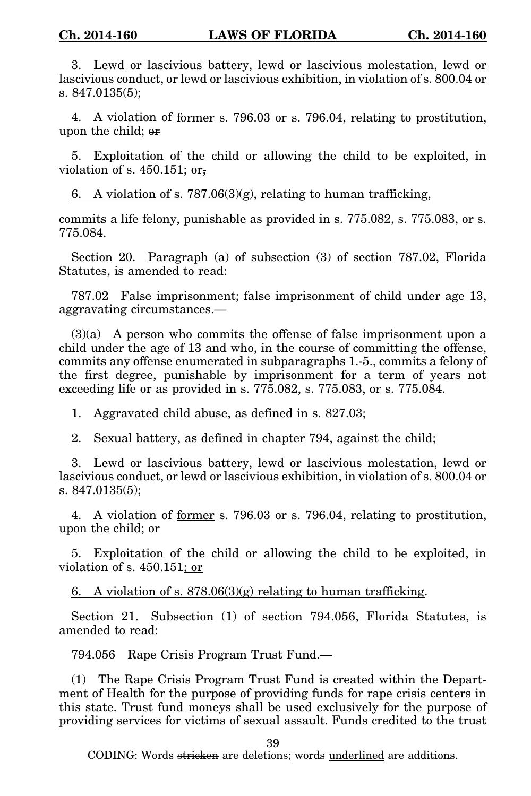3. Lewd or lascivious battery, lewd or lascivious molestation, lewd or lascivious conduct, or lewd or lascivious exhibition, in violation of s. 800.04 or s. 847.0135(5);

4. A violation of former s. 796.03 or s. 796.04, relating to prostitution, upon the child; or

5. Exploitation of the child or allowing the child to be exploited, in violation of s.  $450.151$ ; or,

6. A violation of s.  $787.06(3)(g)$ , relating to human trafficking,

commits a life felony, punishable as provided in s. 775.082, s. 775.083, or s. 775.084.

Section 20. Paragraph (a) of subsection (3) of section 787.02, Florida Statutes, is amended to read:

787.02 False imprisonment; false imprisonment of child under age 13, aggravating circumstances.—

(3)(a) A person who commits the offense of false imprisonment upon a child under the age of 13 and who, in the course of committing the offense, commits any offense enumerated in subparagraphs 1.-5., commits a felony of the first degree, punishable by imprisonment for a term of years not exceeding life or as provided in s. 775.082, s. 775.083, or s. 775.084.

1. Aggravated child abuse, as defined in s. 827.03;

2. Sexual battery, as defined in chapter 794, against the child;

3. Lewd or lascivious battery, lewd or lascivious molestation, lewd or lascivious conduct, or lewd or lascivious exhibition, in violation of s. 800.04 or s. 847.0135(5);

4. A violation of former s. 796.03 or s. 796.04, relating to prostitution, upon the child; or

5. Exploitation of the child or allowing the child to be exploited, in violation of s. 450.151; or

6. A violation of s.  $878.06(3)(g)$  relating to human trafficking.

Section 21. Subsection (1) of section 794.056, Florida Statutes, is amended to read:

794.056 Rape Crisis Program Trust Fund.—

(1) The Rape Crisis Program Trust Fund is created within the Department of Health for the purpose of providing funds for rape crisis centers in this state. Trust fund moneys shall be used exclusively for the purpose of providing services for victims of sexual assault. Funds credited to the trust

39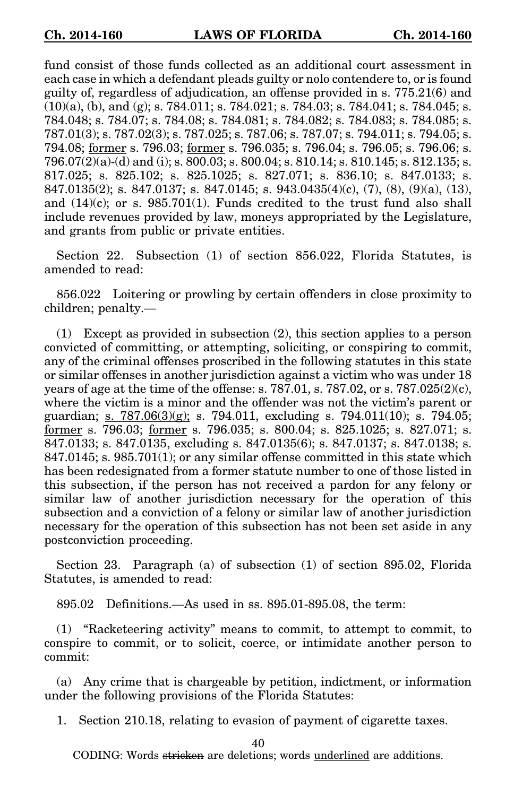fund consist of those funds collected as an additional court assessment in each case in which a defendant pleads guilty or nolo contendere to, or is found guilty of, regardless of adjudication, an offense provided in s. 775.21(6) and  $(10)(a)$ , (b), and (g); s. 784.011; s. 784.021; s. 784.03; s. 784.041; s. 784.045; s. 784.048; s. 784.07; s. 784.08; s. 784.081; s. 784.082; s. 784.083; s. 784.085; s. 787.01(3); s. 787.02(3); s. 787.025; s. 787.06; s. 787.07; s. 794.011; s. 794.05; s. 794.08; former s. 796.03; former s. 796.035; s. 796.04; s. 796.05; s. 796.06; s. 796.07(2)(a)-(d) and (i); s. 800.03; s. 800.04; s. 810.14; s. 810.145; s. 812.135; s. 817.025; s. 825.102; s. 825.1025; s. 827.071; s. 836.10; s. 847.0133; s. 847.0135(2); s. 847.0137; s. 847.0145; s. 943.0435(4)(c), (7), (8), (9)(a), (13), and  $(14)(c)$ ; or s. 985.701(1). Funds credited to the trust fund also shall include revenues provided by law, moneys appropriated by the Legislature, and grants from public or private entities.

Section 22. Subsection (1) of section 856.022, Florida Statutes, is amended to read:

856.022 Loitering or prowling by certain offenders in close proximity to children; penalty.—

(1) Except as provided in subsection (2), this section applies to a person convicted of committing, or attempting, soliciting, or conspiring to commit, any of the criminal offenses proscribed in the following statutes in this state or similar offenses in another jurisdiction against a victim who was under 18 years of age at the time of the offense: s.  $787.01$ , s.  $787.02$ , or s.  $787.025(2)(c)$ , where the victim is a minor and the offender was not the victim's parent or guardian; s. 787.06 $(3)(g)$ ; s. 794.011, excluding s. 794.011 $(10)$ ; s. 794.05; former s. 796.03; former s. 796.035; s. 800.04; s. 825.1025; s. 827.071; s. 847.0133; s. 847.0135, excluding s. 847.0135(6); s. 847.0137; s. 847.0138; s.  $847.0145$ ; s.  $985.701(1)$ ; or any similar offense committed in this state which has been redesignated from a former statute number to one of those listed in this subsection, if the person has not received a pardon for any felony or similar law of another jurisdiction necessary for the operation of this subsection and a conviction of a felony or similar law of another jurisdiction necessary for the operation of this subsection has not been set aside in any postconviction proceeding.

Section 23. Paragraph (a) of subsection (1) of section 895.02, Florida Statutes, is amended to read:

895.02 Definitions.—As used in ss. 895.01-895.08, the term:

(1) "Racketeering activity" means to commit, to attempt to commit, to conspire to commit, or to solicit, coerce, or intimidate another person to commit:

(a) Any crime that is chargeable by petition, indictment, or information under the following provisions of the Florida Statutes:

1. Section 210.18, relating to evasion of payment of cigarette taxes.

40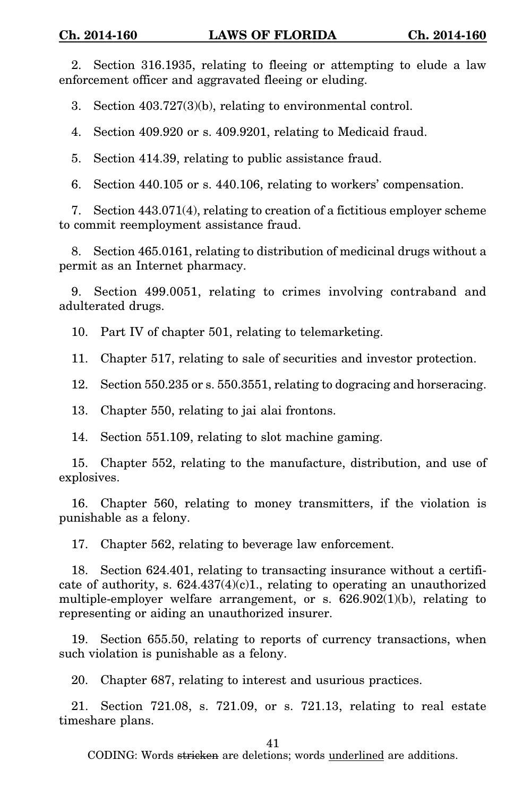2. Section 316.1935, relating to fleeing or attempting to elude a law enforcement officer and aggravated fleeing or eluding.

3. Section 403.727(3)(b), relating to environmental control.

4. Section 409.920 or s. 409.9201, relating to Medicaid fraud.

5. Section 414.39, relating to public assistance fraud.

6. Section 440.105 or s. 440.106, relating to workers' compensation.

7. Section 443.071(4), relating to creation of a fictitious employer scheme to commit reemployment assistance fraud.

8. Section 465.0161, relating to distribution of medicinal drugs without a permit as an Internet pharmacy.

9. Section 499.0051, relating to crimes involving contraband and adulterated drugs.

10. Part IV of chapter 501, relating to telemarketing.

11. Chapter 517, relating to sale of securities and investor protection.

12. Section 550.235 or s. 550.3551, relating to dogracing and horseracing.

13. Chapter 550, relating to jai alai frontons.

14. Section 551.109, relating to slot machine gaming.

15. Chapter 552, relating to the manufacture, distribution, and use of explosives.

16. Chapter 560, relating to money transmitters, if the violation is punishable as a felony.

17. Chapter 562, relating to beverage law enforcement.

18. Section 624.401, relating to transacting insurance without a certificate of authority, s.  $624.437(4)(c)1$ ., relating to operating an unauthorized multiple-employer welfare arrangement, or s. 626.902(1)(b), relating to representing or aiding an unauthorized insurer.

19. Section 655.50, relating to reports of currency transactions, when such violation is punishable as a felony.

20. Chapter 687, relating to interest and usurious practices.

21. Section 721.08, s. 721.09, or s. 721.13, relating to real estate timeshare plans.

41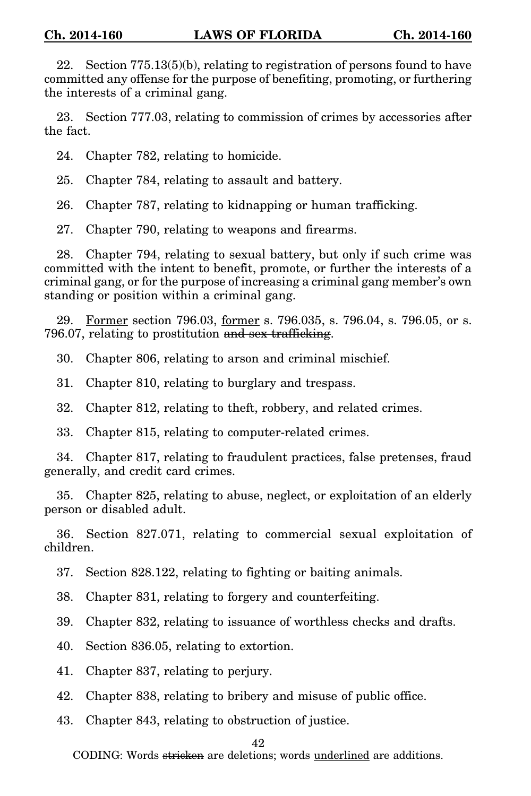22. Section 775.13(5)(b), relating to registration of persons found to have committed any offense for the purpose of benefiting, promoting, or furthering the interests of a criminal gang.

23. Section 777.03, relating to commission of crimes by accessories after the fact.

24. Chapter 782, relating to homicide.

25. Chapter 784, relating to assault and battery.

26. Chapter 787, relating to kidnapping or human trafficking.

27. Chapter 790, relating to weapons and firearms.

28. Chapter 794, relating to sexual battery, but only if such crime was committed with the intent to benefit, promote, or further the interests of a criminal gang, or for the purpose of increasing a criminal gang member's own standing or position within a criminal gang.

29. Former section 796.03, former s. 796.035, s. 796.04, s. 796.05, or s. 796.07, relating to prostitution and sex trafficking.

30. Chapter 806, relating to arson and criminal mischief.

31. Chapter 810, relating to burglary and trespass.

32. Chapter 812, relating to theft, robbery, and related crimes.

33. Chapter 815, relating to computer-related crimes.

34. Chapter 817, relating to fraudulent practices, false pretenses, fraud generally, and credit card crimes.

35. Chapter 825, relating to abuse, neglect, or exploitation of an elderly person or disabled adult.

36. Section 827.071, relating to commercial sexual exploitation of children.

37. Section 828.122, relating to fighting or baiting animals.

38. Chapter 831, relating to forgery and counterfeiting.

39. Chapter 832, relating to issuance of worthless checks and drafts.

40. Section 836.05, relating to extortion.

41. Chapter 837, relating to perjury.

42. Chapter 838, relating to bribery and misuse of public office.

43. Chapter 843, relating to obstruction of justice.

## 42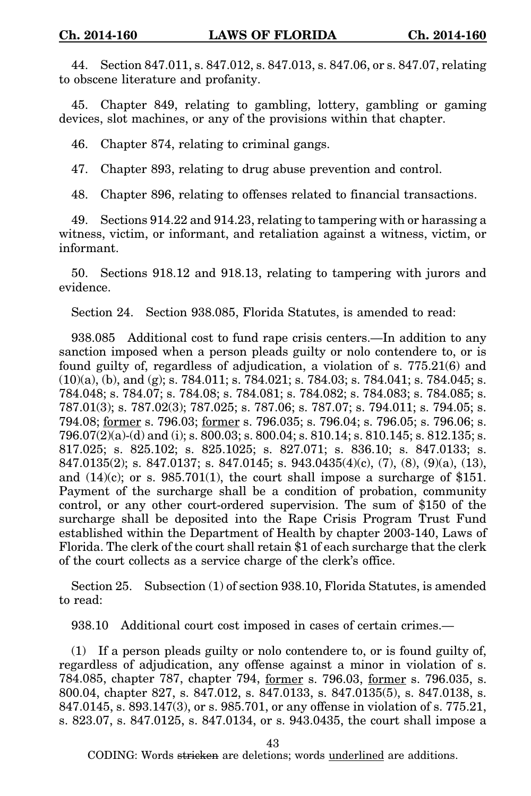44. Section 847.011, s. 847.012, s. 847.013, s. 847.06, or s. 847.07, relating to obscene literature and profanity.

45. Chapter 849, relating to gambling, lottery, gambling or gaming devices, slot machines, or any of the provisions within that chapter.

46. Chapter 874, relating to criminal gangs.

47. Chapter 893, relating to drug abuse prevention and control.

48. Chapter 896, relating to offenses related to financial transactions.

49. Sections 914.22 and 914.23, relating to tampering with or harassing a witness, victim, or informant, and retaliation against a witness, victim, or informant.

50. Sections 918.12 and 918.13, relating to tampering with jurors and evidence.

Section 24. Section 938.085, Florida Statutes, is amended to read:

938.085 Additional cost to fund rape crisis centers.—In addition to any sanction imposed when a person pleads guilty or nolo contendere to, or is found guilty of, regardless of adjudication, a violation of s. 775.21(6) and (10)(a), (b), and (g); s. 784.011; s. 784.021; s. 784.03; s. 784.041; s. 784.045; s. 784.048; s. 784.07; s. 784.08; s. 784.081; s. 784.082; s. 784.083; s. 784.085; s. 787.01(3); s. 787.02(3); 787.025; s. 787.06; s. 787.07; s. 794.011; s. 794.05; s. 794.08; former s. 796.03; former s. 796.035; s. 796.04; s. 796.05; s. 796.06; s. 796.07(2)(a)-(d) and (i); s. 800.03; s. 800.04; s. 810.14; s. 810.145; s. 812.135; s. 817.025; s. 825.102; s. 825.1025; s. 827.071; s. 836.10; s. 847.0133; s. 847.0135(2); s. 847.0137; s. 847.0145; s. 943.0435(4)(c), (7), (8), (9)(a), (13), and  $(14)(c)$ ; or s. 985.701(1), the court shall impose a surcharge of \$151. Payment of the surcharge shall be a condition of probation, community control, or any other court-ordered supervision. The sum of \$150 of the surcharge shall be deposited into the Rape Crisis Program Trust Fund established within the Department of Health by chapter 2003-140, Laws of Florida. The clerk of the court shall retain \$1 of each surcharge that the clerk of the court collects as a service charge of the clerk's office.

Section 25. Subsection (1) of section 938.10, Florida Statutes, is amended to read:

938.10 Additional court cost imposed in cases of certain crimes.—

(1) If a person pleads guilty or nolo contendere to, or is found guilty of, regardless of adjudication, any offense against a minor in violation of s. 784.085, chapter 787, chapter 794, former s. 796.03, former s. 796.035, s. 800.04, chapter 827, s. 847.012, s. 847.0133, s. 847.0135(5), s. 847.0138, s. 847.0145, s. 893.147(3), or s. 985.701, or any offense in violation of s. 775.21, s. 823.07, s. 847.0125, s. 847.0134, or s. 943.0435, the court shall impose a

43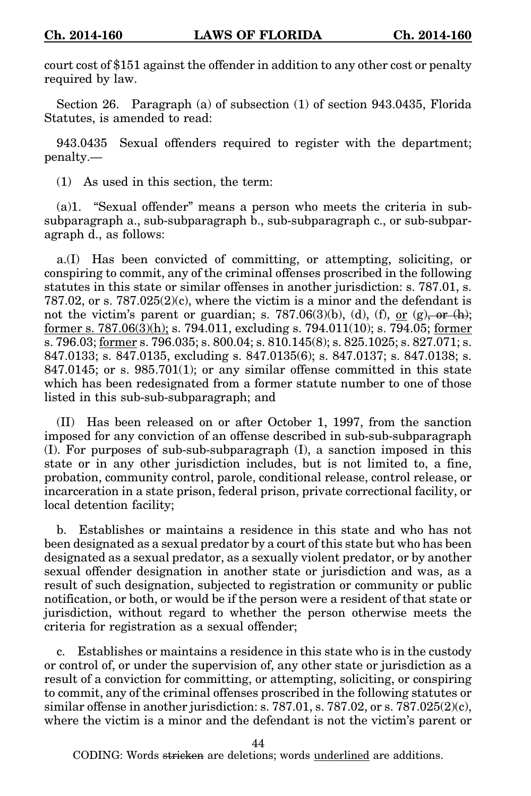court cost of \$151 against the offender in addition to any other cost or penalty required by law.

Section 26. Paragraph (a) of subsection (1) of section 943.0435, Florida Statutes, is amended to read:

943.0435 Sexual offenders required to register with the department; penalty.—

(1) As used in this section, the term:

(a)1. "Sexual offender" means a person who meets the criteria in subsubparagraph a., sub-subparagraph b., sub-subparagraph c., or sub-subparagraph d., as follows:

a.(I) Has been convicted of committing, or attempting, soliciting, or conspiring to commit, any of the criminal offenses proscribed in the following statutes in this state or similar offenses in another jurisdiction: s. 787.01, s.  $787.02$ , or s.  $787.025(2)(c)$ , where the victim is a minor and the defendant is not the victim's parent or guardian; s. 787.06(3)(b), (d), (f), or (g), or  $(h)$ ; former s. 787.06(3)(h); s. 794.011, excluding s. 794.011(10); s. 794.05; former s. 796.03; <u>former</u> s. 796.035; s. 800.04; s. 810.145(8); s. 825.1025; s. 827.071; s. 847.0133; s. 847.0135, excluding s. 847.0135(6); s. 847.0137; s. 847.0138; s.  $847.0145$ ; or s.  $985.701(1)$ ; or any similar offense committed in this state which has been redesignated from a former statute number to one of those listed in this sub-sub-subparagraph; and

(II) Has been released on or after October 1, 1997, from the sanction imposed for any conviction of an offense described in sub-sub-subparagraph (I). For purposes of sub-sub-subparagraph (I), a sanction imposed in this state or in any other jurisdiction includes, but is not limited to, a fine, probation, community control, parole, conditional release, control release, or incarceration in a state prison, federal prison, private correctional facility, or local detention facility;

b. Establishes or maintains a residence in this state and who has not been designated as a sexual predator by a court of this state but who has been designated as a sexual predator, as a sexually violent predator, or by another sexual offender designation in another state or jurisdiction and was, as a result of such designation, subjected to registration or community or public notification, or both, or would be if the person were a resident of that state or jurisdiction, without regard to whether the person otherwise meets the criteria for registration as a sexual offender;

c. Establishes or maintains a residence in this state who is in the custody or control of, or under the supervision of, any other state or jurisdiction as a result of a conviction for committing, or attempting, soliciting, or conspiring to commit, any of the criminal offenses proscribed in the following statutes or similar offense in another jurisdiction: s. 787.01, s. 787.02, or s. 787.025(2)(c), where the victim is a minor and the defendant is not the victim's parent or

44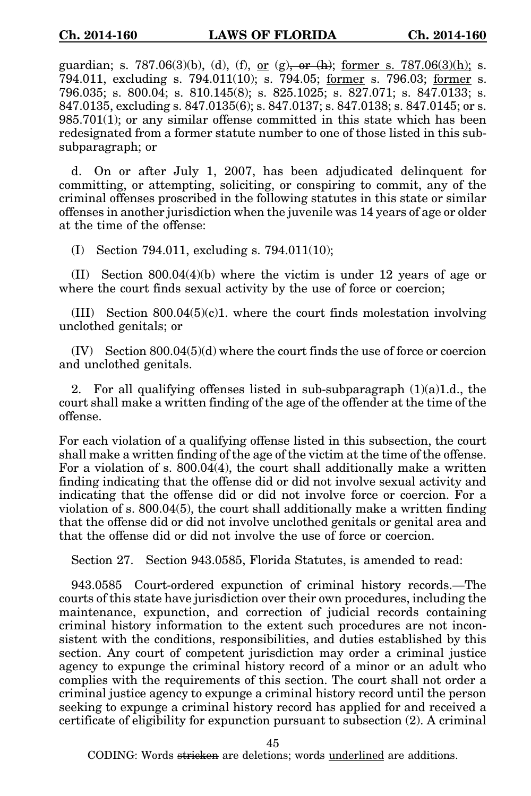guardian; s. 787.06(3)(b), (d), (f), or (g)<del>, or (h)</del>; former s. 787.06(3)(h); s. 794.011, excluding s. 794.011(10); s. 794.05; former s. 796.03; former s. 796.035; s. 800.04; s. 810.145(8); s. 825.1025; s. 827.071; s. 847.0133; s. 847.0135, excluding s. 847.0135(6); s. 847.0137; s. 847.0138; s. 847.0145; or s. 985.701(1); or any similar offense committed in this state which has been redesignated from a former statute number to one of those listed in this subsubparagraph; or

d. On or after July 1, 2007, has been adjudicated delinquent for committing, or attempting, soliciting, or conspiring to commit, any of the criminal offenses proscribed in the following statutes in this state or similar offenses in another jurisdiction when the juvenile was 14 years of age or older at the time of the offense:

(I) Section 794.011, excluding s. 794.011(10);

(II) Section 800.04(4)(b) where the victim is under 12 years of age or where the court finds sexual activity by the use of force or coercion;

(III) Section 800.04(5)(c)1. where the court finds molestation involving unclothed genitals; or

 $(IV)$  Section 800.04 $(5)(d)$  where the court finds the use of force or coercion and unclothed genitals.

2. For all qualifying offenses listed in sub-subparagraph  $(1)(a)1.d.,$  the court shall make a written finding of the age of the offender at the time of the offense.

For each violation of a qualifying offense listed in this subsection, the court shall make a written finding of the age of the victim at the time of the offense. For a violation of s. 800.04(4), the court shall additionally make a written finding indicating that the offense did or did not involve sexual activity and indicating that the offense did or did not involve force or coercion. For a violation of s. 800.04(5), the court shall additionally make a written finding that the offense did or did not involve unclothed genitals or genital area and that the offense did or did not involve the use of force or coercion.

Section 27. Section 943.0585, Florida Statutes, is amended to read:

943.0585 Court-ordered expunction of criminal history records.—The courts of this state have jurisdiction over their own procedures, including the maintenance, expunction, and correction of judicial records containing criminal history information to the extent such procedures are not inconsistent with the conditions, responsibilities, and duties established by this section. Any court of competent jurisdiction may order a criminal justice agency to expunge the criminal history record of a minor or an adult who complies with the requirements of this section. The court shall not order a criminal justice agency to expunge a criminal history record until the person seeking to expunge a criminal history record has applied for and received a certificate of eligibility for expunction pursuant to subsection (2). A criminal

45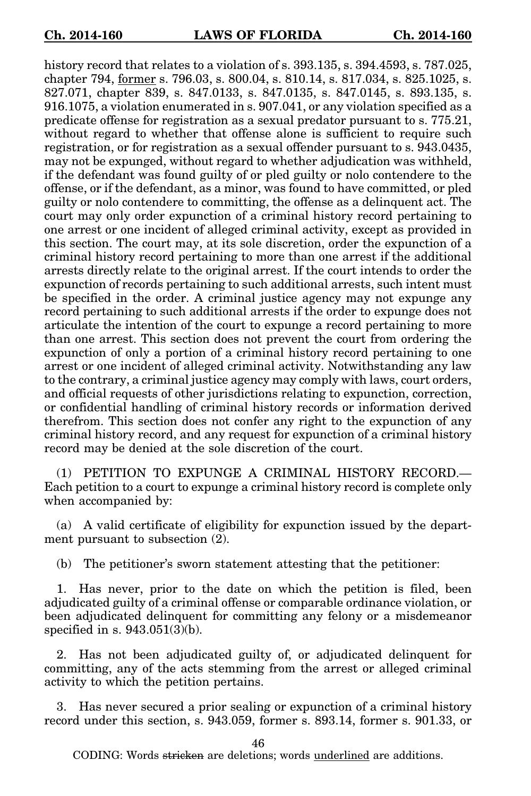history record that relates to a violation of s. 393.135, s. 394.4593, s. 787.025, chapter 794, former s. 796.03, s. 800.04, s. 810.14, s. 817.034, s. 825.1025, s. 827.071, chapter 839, s. 847.0133, s. 847.0135, s. 847.0145, s. 893.135, s. 916.1075, a violation enumerated in s. 907.041, or any violation specified as a predicate offense for registration as a sexual predator pursuant to s. 775.21, without regard to whether that offense alone is sufficient to require such registration, or for registration as a sexual offender pursuant to s. 943.0435, may not be expunged, without regard to whether adjudication was withheld, if the defendant was found guilty of or pled guilty or nolo contendere to the offense, or if the defendant, as a minor, was found to have committed, or pled guilty or nolo contendere to committing, the offense as a delinquent act. The court may only order expunction of a criminal history record pertaining to one arrest or one incident of alleged criminal activity, except as provided in this section. The court may, at its sole discretion, order the expunction of a criminal history record pertaining to more than one arrest if the additional arrests directly relate to the original arrest. If the court intends to order the expunction of records pertaining to such additional arrests, such intent must be specified in the order. A criminal justice agency may not expunge any record pertaining to such additional arrests if the order to expunge does not articulate the intention of the court to expunge a record pertaining to more than one arrest. This section does not prevent the court from ordering the expunction of only a portion of a criminal history record pertaining to one arrest or one incident of alleged criminal activity. Notwithstanding any law to the contrary, a criminal justice agency may comply with laws, court orders, and official requests of other jurisdictions relating to expunction, correction, or confidential handling of criminal history records or information derived therefrom. This section does not confer any right to the expunction of any criminal history record, and any request for expunction of a criminal history record may be denied at the sole discretion of the court.

(1) PETITION TO EXPUNGE A CRIMINAL HISTORY RECORD.— Each petition to a court to expunge a criminal history record is complete only when accompanied by:

(a) A valid certificate of eligibility for expunction issued by the department pursuant to subsection (2).

(b) The petitioner's sworn statement attesting that the petitioner:

1. Has never, prior to the date on which the petition is filed, been adjudicated guilty of a criminal offense or comparable ordinance violation, or been adjudicated delinquent for committing any felony or a misdemeanor specified in s. 943.051(3)(b).

2. Has not been adjudicated guilty of, or adjudicated delinquent for committing, any of the acts stemming from the arrest or alleged criminal activity to which the petition pertains.

3. Has never secured a prior sealing or expunction of a criminal history record under this section, s. 943.059, former s. 893.14, former s. 901.33, or

46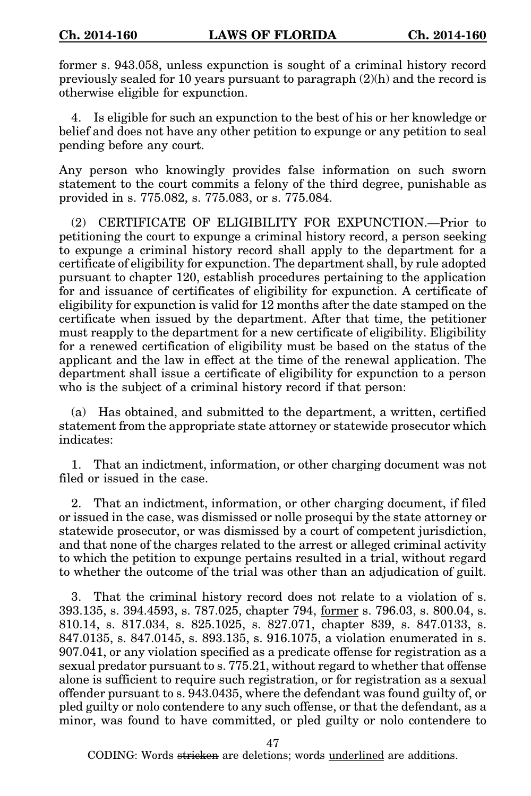former s. 943.058, unless expunction is sought of a criminal history record previously sealed for 10 years pursuant to paragraph (2)(h) and the record is otherwise eligible for expunction.

4. Is eligible for such an expunction to the best of his or her knowledge or belief and does not have any other petition to expunge or any petition to seal pending before any court.

Any person who knowingly provides false information on such sworn statement to the court commits a felony of the third degree, punishable as provided in s. 775.082, s. 775.083, or s. 775.084.

(2) CERTIFICATE OF ELIGIBILITY FOR EXPUNCTION.—Prior to petitioning the court to expunge a criminal history record, a person seeking to expunge a criminal history record shall apply to the department for a certificate of eligibility for expunction. The department shall, by rule adopted pursuant to chapter 120, establish procedures pertaining to the application for and issuance of certificates of eligibility for expunction. A certificate of eligibility for expunction is valid for 12 months after the date stamped on the certificate when issued by the department. After that time, the petitioner must reapply to the department for a new certificate of eligibility. Eligibility for a renewed certification of eligibility must be based on the status of the applicant and the law in effect at the time of the renewal application. The department shall issue a certificate of eligibility for expunction to a person who is the subject of a criminal history record if that person:

(a) Has obtained, and submitted to the department, a written, certified statement from the appropriate state attorney or statewide prosecutor which indicates:

1. That an indictment, information, or other charging document was not filed or issued in the case.

2. That an indictment, information, or other charging document, if filed or issued in the case, was dismissed or nolle prosequi by the state attorney or statewide prosecutor, or was dismissed by a court of competent jurisdiction, and that none of the charges related to the arrest or alleged criminal activity to which the petition to expunge pertains resulted in a trial, without regard to whether the outcome of the trial was other than an adjudication of guilt.

3. That the criminal history record does not relate to a violation of s. 393.135, s. 394.4593, s. 787.025, chapter 794, former s. 796.03, s. 800.04, s. 810.14, s. 817.034, s. 825.1025, s. 827.071, chapter 839, s. 847.0133, s. 847.0135, s. 847.0145, s. 893.135, s. 916.1075, a violation enumerated in s. 907.041, or any violation specified as a predicate offense for registration as a sexual predator pursuant to s. 775.21, without regard to whether that offense alone is sufficient to require such registration, or for registration as a sexual offender pursuant to s. 943.0435, where the defendant was found guilty of, or pled guilty or nolo contendere to any such offense, or that the defendant, as a minor, was found to have committed, or pled guilty or nolo contendere to

47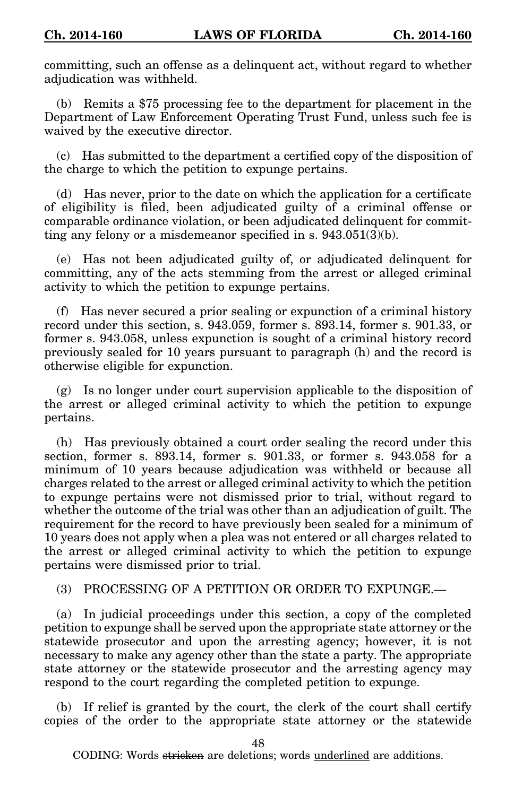committing, such an offense as a delinquent act, without regard to whether adjudication was withheld.

(b) Remits a \$75 processing fee to the department for placement in the Department of Law Enforcement Operating Trust Fund, unless such fee is waived by the executive director.

(c) Has submitted to the department a certified copy of the disposition of the charge to which the petition to expunge pertains.

(d) Has never, prior to the date on which the application for a certificate of eligibility is filed, been adjudicated guilty of a criminal offense or comparable ordinance violation, or been adjudicated delinquent for committing any felony or a misdemeanor specified in s. 943.051(3)(b).

(e) Has not been adjudicated guilty of, or adjudicated delinquent for committing, any of the acts stemming from the arrest or alleged criminal activity to which the petition to expunge pertains.

(f) Has never secured a prior sealing or expunction of a criminal history record under this section, s. 943.059, former s. 893.14, former s. 901.33, or former s. 943.058, unless expunction is sought of a criminal history record previously sealed for 10 years pursuant to paragraph (h) and the record is otherwise eligible for expunction.

(g) Is no longer under court supervision applicable to the disposition of the arrest or alleged criminal activity to which the petition to expunge pertains.

(h) Has previously obtained a court order sealing the record under this section, former s. 893.14, former s. 901.33, or former s. 943.058 for a minimum of 10 years because adjudication was withheld or because all charges related to the arrest or alleged criminal activity to which the petition to expunge pertains were not dismissed prior to trial, without regard to whether the outcome of the trial was other than an adjudication of guilt. The requirement for the record to have previously been sealed for a minimum of 10 years does not apply when a plea was not entered or all charges related to the arrest or alleged criminal activity to which the petition to expunge pertains were dismissed prior to trial.

 $(3)$  PROCESSING OF A PETITION OR ORDER TO EXPUNGE  $-$ 

(a) In judicial proceedings under this section, a copy of the completed petition to expunge shall be served upon the appropriate state attorney or the statewide prosecutor and upon the arresting agency; however, it is not necessary to make any agency other than the state a party. The appropriate state attorney or the statewide prosecutor and the arresting agency may respond to the court regarding the completed petition to expunge.

(b) If relief is granted by the court, the clerk of the court shall certify copies of the order to the appropriate state attorney or the statewide

48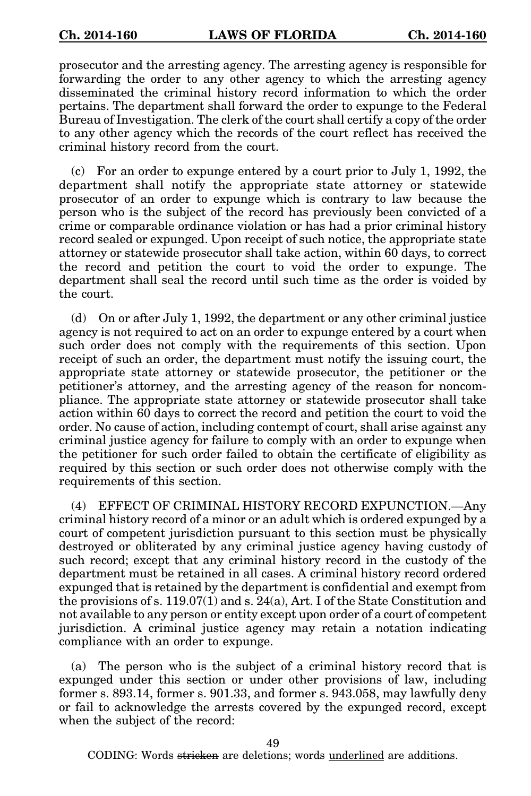prosecutor and the arresting agency. The arresting agency is responsible for forwarding the order to any other agency to which the arresting agency disseminated the criminal history record information to which the order pertains. The department shall forward the order to expunge to the Federal Bureau of Investigation. The clerk of the court shall certify a copy of the order to any other agency which the records of the court reflect has received the criminal history record from the court.

(c) For an order to expunge entered by a court prior to July 1, 1992, the department shall notify the appropriate state attorney or statewide prosecutor of an order to expunge which is contrary to law because the person who is the subject of the record has previously been convicted of a crime or comparable ordinance violation or has had a prior criminal history record sealed or expunged. Upon receipt of such notice, the appropriate state attorney or statewide prosecutor shall take action, within 60 days, to correct the record and petition the court to void the order to expunge. The department shall seal the record until such time as the order is voided by the court.

(d) On or after July 1, 1992, the department or any other criminal justice agency is not required to act on an order to expunge entered by a court when such order does not comply with the requirements of this section. Upon receipt of such an order, the department must notify the issuing court, the appropriate state attorney or statewide prosecutor, the petitioner or the petitioner's attorney, and the arresting agency of the reason for noncompliance. The appropriate state attorney or statewide prosecutor shall take action within 60 days to correct the record and petition the court to void the order. No cause of action, including contempt of court, shall arise against any criminal justice agency for failure to comply with an order to expunge when the petitioner for such order failed to obtain the certificate of eligibility as required by this section or such order does not otherwise comply with the requirements of this section.

(4) EFFECT OF CRIMINAL HISTORY RECORD EXPUNCTION.—Any criminal history record of a minor or an adult which is ordered expunged by a court of competent jurisdiction pursuant to this section must be physically destroyed or obliterated by any criminal justice agency having custody of such record; except that any criminal history record in the custody of the department must be retained in all cases. A criminal history record ordered expunged that is retained by the department is confidential and exempt from the provisions of s. 119.07(1) and s. 24(a), Art. I of the State Constitution and not available to any person or entity except upon order of a court of competent jurisdiction. A criminal justice agency may retain a notation indicating compliance with an order to expunge.

(a) The person who is the subject of a criminal history record that is expunged under this section or under other provisions of law, including former s. 893.14, former s. 901.33, and former s. 943.058, may lawfully deny or fail to acknowledge the arrests covered by the expunged record, except when the subject of the record:

49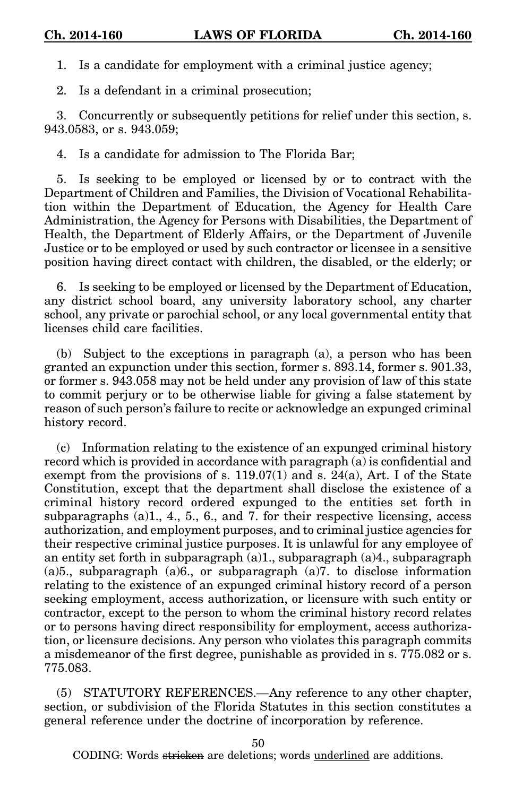1. Is a candidate for employment with a criminal justice agency;

2. Is a defendant in a criminal prosecution;

3. Concurrently or subsequently petitions for relief under this section, s. 943.0583, or s. 943.059;

4. Is a candidate for admission to The Florida Bar;

5. Is seeking to be employed or licensed by or to contract with the Department of Children and Families, the Division of Vocational Rehabilitation within the Department of Education, the Agency for Health Care Administration, the Agency for Persons with Disabilities, the Department of Health, the Department of Elderly Affairs, or the Department of Juvenile Justice or to be employed or used by such contractor or licensee in a sensitive position having direct contact with children, the disabled, or the elderly; or

6. Is seeking to be employed or licensed by the Department of Education, any district school board, any university laboratory school, any charter school, any private or parochial school, or any local governmental entity that licenses child care facilities.

(b) Subject to the exceptions in paragraph (a), a person who has been granted an expunction under this section, former s. 893.14, former s. 901.33, or former s. 943.058 may not be held under any provision of law of this state to commit perjury or to be otherwise liable for giving a false statement by reason of such person's failure to recite or acknowledge an expunged criminal history record.

(c) Information relating to the existence of an expunged criminal history record which is provided in accordance with paragraph (a) is confidential and exempt from the provisions of s. 119.07(1) and s. 24(a), Art. I of the State Constitution, except that the department shall disclose the existence of a criminal history record ordered expunged to the entities set forth in subparagraphs (a)1., 4., 5., 6., and 7. for their respective licensing, access authorization, and employment purposes, and to criminal justice agencies for their respective criminal justice purposes. It is unlawful for any employee of an entity set forth in subparagraph (a)1., subparagraph (a)4., subparagraph (a)5., subparagraph (a)6., or subparagraph (a)7. to disclose information relating to the existence of an expunged criminal history record of a person seeking employment, access authorization, or licensure with such entity or contractor, except to the person to whom the criminal history record relates or to persons having direct responsibility for employment, access authorization, or licensure decisions. Any person who violates this paragraph commits a misdemeanor of the first degree, punishable as provided in s. 775.082 or s. 775.083.

(5) STATUTORY REFERENCES.—Any reference to any other chapter, section, or subdivision of the Florida Statutes in this section constitutes a general reference under the doctrine of incorporation by reference.

50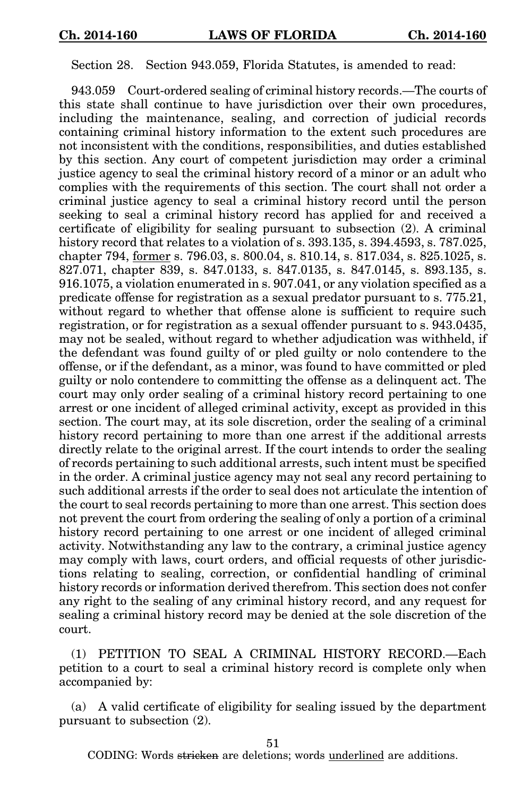Section 28. Section 943.059, Florida Statutes, is amended to read:

943.059 Court-ordered sealing of criminal history records.—The courts of this state shall continue to have jurisdiction over their own procedures, including the maintenance, sealing, and correction of judicial records containing criminal history information to the extent such procedures are not inconsistent with the conditions, responsibilities, and duties established by this section. Any court of competent jurisdiction may order a criminal justice agency to seal the criminal history record of a minor or an adult who complies with the requirements of this section. The court shall not order a criminal justice agency to seal a criminal history record until the person seeking to seal a criminal history record has applied for and received a certificate of eligibility for sealing pursuant to subsection (2). A criminal history record that relates to a violation of s. 393.135, s. 394.4593, s. 787.025, chapter 794, former s. 796.03, s. 800.04, s. 810.14, s. 817.034, s. 825.1025, s. 827.071, chapter 839, s. 847.0133, s. 847.0135, s. 847.0145, s. 893.135, s. 916.1075, a violation enumerated in s. 907.041, or any violation specified as a predicate offense for registration as a sexual predator pursuant to s. 775.21, without regard to whether that offense alone is sufficient to require such registration, or for registration as a sexual offender pursuant to s. 943.0435, may not be sealed, without regard to whether adjudication was withheld, if the defendant was found guilty of or pled guilty or nolo contendere to the offense, or if the defendant, as a minor, was found to have committed or pled guilty or nolo contendere to committing the offense as a delinquent act. The court may only order sealing of a criminal history record pertaining to one arrest or one incident of alleged criminal activity, except as provided in this section. The court may, at its sole discretion, order the sealing of a criminal history record pertaining to more than one arrest if the additional arrests directly relate to the original arrest. If the court intends to order the sealing of records pertaining to such additional arrests, such intent must be specified in the order. A criminal justice agency may not seal any record pertaining to such additional arrests if the order to seal does not articulate the intention of the court to seal records pertaining to more than one arrest. This section does not prevent the court from ordering the sealing of only a portion of a criminal history record pertaining to one arrest or one incident of alleged criminal activity. Notwithstanding any law to the contrary, a criminal justice agency may comply with laws, court orders, and official requests of other jurisdictions relating to sealing, correction, or confidential handling of criminal history records or information derived therefrom. This section does not confer any right to the sealing of any criminal history record, and any request for sealing a criminal history record may be denied at the sole discretion of the court.

(1) PETITION TO SEAL A CRIMINAL HISTORY RECORD.—Each petition to a court to seal a criminal history record is complete only when accompanied by:

(a) A valid certificate of eligibility for sealing issued by the department pursuant to subsection (2).

51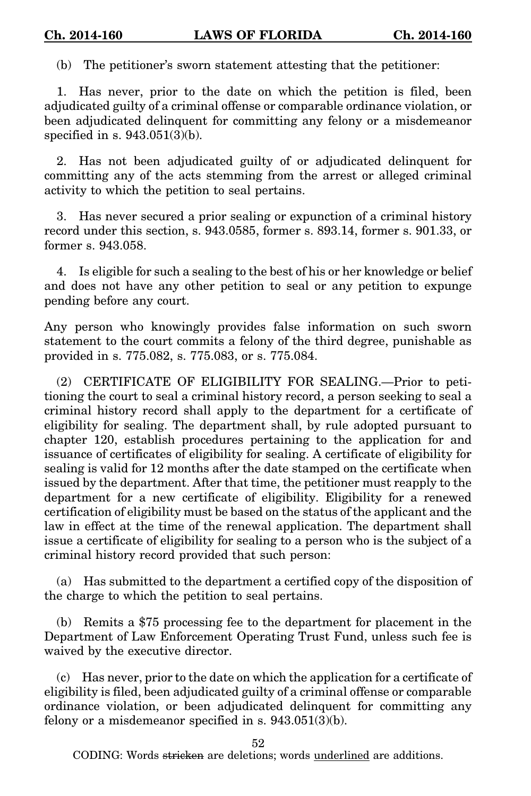(b) The petitioner's sworn statement attesting that the petitioner:

1. Has never, prior to the date on which the petition is filed, been adjudicated guilty of a criminal offense or comparable ordinance violation, or been adjudicated delinquent for committing any felony or a misdemeanor specified in s. 943.051(3)(b).

2. Has not been adjudicated guilty of or adjudicated delinquent for committing any of the acts stemming from the arrest or alleged criminal activity to which the petition to seal pertains.

3. Has never secured a prior sealing or expunction of a criminal history record under this section, s. 943.0585, former s. 893.14, former s. 901.33, or former s. 943.058.

4. Is eligible for such a sealing to the best of his or her knowledge or belief and does not have any other petition to seal or any petition to expunge pending before any court.

Any person who knowingly provides false information on such sworn statement to the court commits a felony of the third degree, punishable as provided in s. 775.082, s. 775.083, or s. 775.084.

(2) CERTIFICATE OF ELIGIBILITY FOR SEALING.—Prior to petitioning the court to seal a criminal history record, a person seeking to seal a criminal history record shall apply to the department for a certificate of eligibility for sealing. The department shall, by rule adopted pursuant to chapter 120, establish procedures pertaining to the application for and issuance of certificates of eligibility for sealing. A certificate of eligibility for sealing is valid for 12 months after the date stamped on the certificate when issued by the department. After that time, the petitioner must reapply to the department for a new certificate of eligibility. Eligibility for a renewed certification of eligibility must be based on the status of the applicant and the law in effect at the time of the renewal application. The department shall issue a certificate of eligibility for sealing to a person who is the subject of a criminal history record provided that such person:

(a) Has submitted to the department a certified copy of the disposition of the charge to which the petition to seal pertains.

(b) Remits a \$75 processing fee to the department for placement in the Department of Law Enforcement Operating Trust Fund, unless such fee is waived by the executive director.

(c) Has never, prior to the date on which the application for a certificate of eligibility is filed, been adjudicated guilty of a criminal offense or comparable ordinance violation, or been adjudicated delinquent for committing any felony or a misdemeanor specified in s. 943.051(3)(b).

52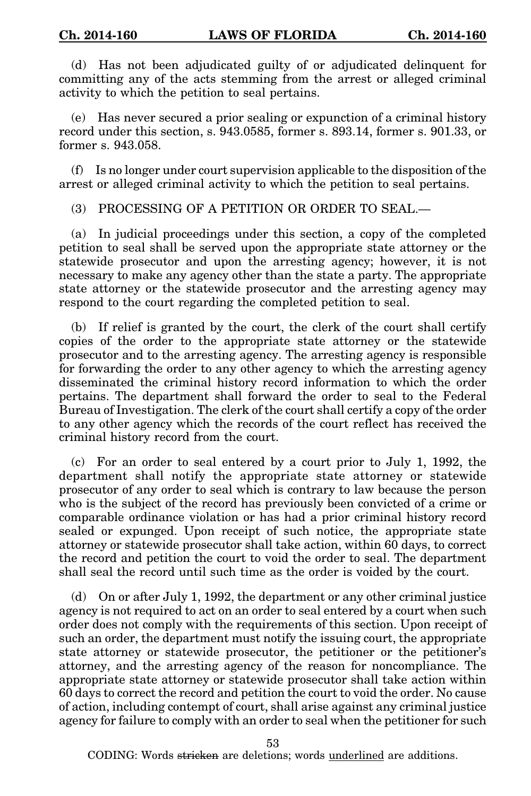(d) Has not been adjudicated guilty of or adjudicated delinquent for committing any of the acts stemming from the arrest or alleged criminal activity to which the petition to seal pertains.

(e) Has never secured a prior sealing or expunction of a criminal history record under this section, s. 943.0585, former s. 893.14, former s. 901.33, or former s. 943.058.

(f) Is no longer under court supervision applicable to the disposition of the arrest or alleged criminal activity to which the petition to seal pertains.

(3) PROCESSING OF A PETITION OR ORDER TO SEAL.—

(a) In judicial proceedings under this section, a copy of the completed petition to seal shall be served upon the appropriate state attorney or the statewide prosecutor and upon the arresting agency; however, it is not necessary to make any agency other than the state a party. The appropriate state attorney or the statewide prosecutor and the arresting agency may respond to the court regarding the completed petition to seal.

(b) If relief is granted by the court, the clerk of the court shall certify copies of the order to the appropriate state attorney or the statewide prosecutor and to the arresting agency. The arresting agency is responsible for forwarding the order to any other agency to which the arresting agency disseminated the criminal history record information to which the order pertains. The department shall forward the order to seal to the Federal Bureau of Investigation. The clerk of the court shall certify a copy of the order to any other agency which the records of the court reflect has received the criminal history record from the court.

(c) For an order to seal entered by a court prior to July 1, 1992, the department shall notify the appropriate state attorney or statewide prosecutor of any order to seal which is contrary to law because the person who is the subject of the record has previously been convicted of a crime or comparable ordinance violation or has had a prior criminal history record sealed or expunged. Upon receipt of such notice, the appropriate state attorney or statewide prosecutor shall take action, within 60 days, to correct the record and petition the court to void the order to seal. The department shall seal the record until such time as the order is voided by the court.

(d) On or after July 1, 1992, the department or any other criminal justice agency is not required to act on an order to seal entered by a court when such order does not comply with the requirements of this section. Upon receipt of such an order, the department must notify the issuing court, the appropriate state attorney or statewide prosecutor, the petitioner or the petitioner's attorney, and the arresting agency of the reason for noncompliance. The appropriate state attorney or statewide prosecutor shall take action within 60 days to correct the record and petition the court to void the order. No cause of action, including contempt of court, shall arise against any criminal justice agency for failure to comply with an order to seal when the petitioner for such

53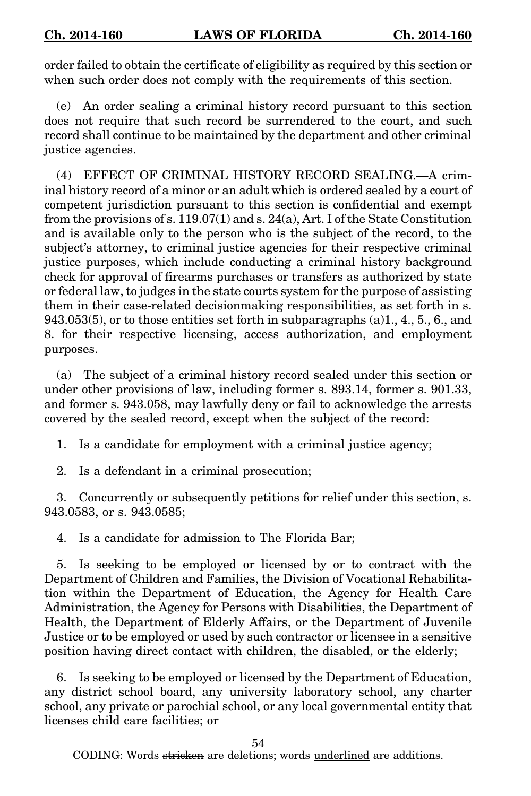order failed to obtain the certificate of eligibility as required by this section or when such order does not comply with the requirements of this section.

(e) An order sealing a criminal history record pursuant to this section does not require that such record be surrendered to the court, and such record shall continue to be maintained by the department and other criminal justice agencies.

(4) EFFECT OF CRIMINAL HISTORY RECORD SEALING.—A criminal history record of a minor or an adult which is ordered sealed by a court of competent jurisdiction pursuant to this section is confidential and exempt from the provisions of s.  $119.07(1)$  and s.  $24(a)$ , Art. I of the State Constitution and is available only to the person who is the subject of the record, to the subject's attorney, to criminal justice agencies for their respective criminal justice purposes, which include conducting a criminal history background check for approval of firearms purchases or transfers as authorized by state or federal law, to judges in the state courts system for the purpose of assisting them in their case-related decisionmaking responsibilities, as set forth in s. 943.053(5), or to those entities set forth in subparagraphs  $(a)1, 4, 5, 6,$  and 8. for their respective licensing, access authorization, and employment purposes.

(a) The subject of a criminal history record sealed under this section or under other provisions of law, including former s. 893.14, former s. 901.33, and former s. 943.058, may lawfully deny or fail to acknowledge the arrests covered by the sealed record, except when the subject of the record:

1. Is a candidate for employment with a criminal justice agency;

2. Is a defendant in a criminal prosecution;

3. Concurrently or subsequently petitions for relief under this section, s. 943.0583, or s. 943.0585;

4. Is a candidate for admission to The Florida Bar;

5. Is seeking to be employed or licensed by or to contract with the Department of Children and Families, the Division of Vocational Rehabilitation within the Department of Education, the Agency for Health Care Administration, the Agency for Persons with Disabilities, the Department of Health, the Department of Elderly Affairs, or the Department of Juvenile Justice or to be employed or used by such contractor or licensee in a sensitive position having direct contact with children, the disabled, or the elderly;

6. Is seeking to be employed or licensed by the Department of Education, any district school board, any university laboratory school, any charter school, any private or parochial school, or any local governmental entity that licenses child care facilities; or

54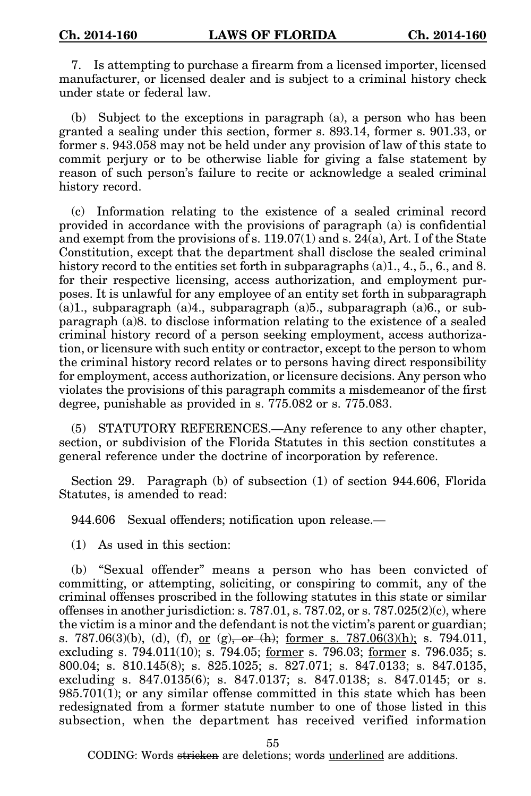7. Is attempting to purchase a firearm from a licensed importer, licensed manufacturer, or licensed dealer and is subject to a criminal history check under state or federal law.

(b) Subject to the exceptions in paragraph (a), a person who has been granted a sealing under this section, former s. 893.14, former s. 901.33, or former s. 943.058 may not be held under any provision of law of this state to commit perjury or to be otherwise liable for giving a false statement by reason of such person's failure to recite or acknowledge a sealed criminal history record.

(c) Information relating to the existence of a sealed criminal record provided in accordance with the provisions of paragraph (a) is confidential and exempt from the provisions of s. 119.07(1) and s. 24(a), Art. I of the State Constitution, except that the department shall disclose the sealed criminal history record to the entities set forth in subparagraphs (a)1, 4, 5, 6, and 8. for their respective licensing, access authorization, and employment purposes. It is unlawful for any employee of an entity set forth in subparagraph (a)1., subparagraph (a)4., subparagraph (a)5., subparagraph (a)6., or subparagraph (a)8. to disclose information relating to the existence of a sealed criminal history record of a person seeking employment, access authorization, or licensure with such entity or contractor, except to the person to whom the criminal history record relates or to persons having direct responsibility for employment, access authorization, or licensure decisions. Any person who violates the provisions of this paragraph commits a misdemeanor of the first degree, punishable as provided in s. 775.082 or s. 775.083.

(5) STATUTORY REFERENCES.—Any reference to any other chapter, section, or subdivision of the Florida Statutes in this section constitutes a general reference under the doctrine of incorporation by reference.

Section 29. Paragraph (b) of subsection (1) of section 944.606, Florida Statutes, is amended to read:

944.606 Sexual offenders; notification upon release.—

(1) As used in this section:

(b) "Sexual offender" means a person who has been convicted of committing, or attempting, soliciting, or conspiring to commit, any of the criminal offenses proscribed in the following statutes in this state or similar offenses in another jurisdiction: s.  $787.01$ , s.  $787.02$ , or s.  $787.025(2)(c)$ , where the victim is a minor and the defendant is not the victim's parent or guardian; s. 787.06(3)(b), (d), (f), <u>or (g), or (h)</u>; former s. 787.06(3)(h); s. 794.011, excluding s. 794.011(10); s. 794.05; <u>former</u> s. 796.03; <u>former</u> s. 796.035; s. 800.04; s. 810.145(8); s. 825.1025; s. 827.071; s. 847.0133; s. 847.0135, excluding s. 847.0135(6); s. 847.0137; s. 847.0138; s. 847.0145; or s.  $985.701(1)$ ; or any similar offense committed in this state which has been redesignated from a former statute number to one of those listed in this subsection, when the department has received verified information

55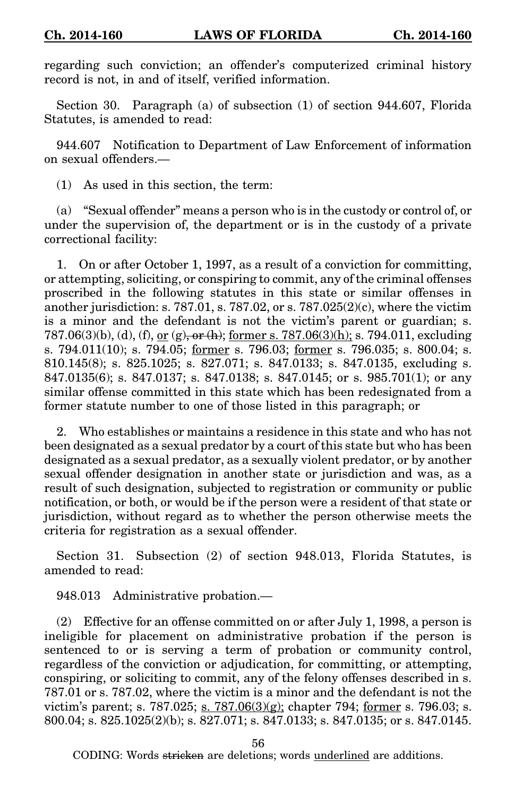regarding such conviction; an offender's computerized criminal history record is not, in and of itself, verified information.

Section 30. Paragraph (a) of subsection (1) of section 944.607, Florida Statutes, is amended to read:

944.607 Notification to Department of Law Enforcement of information on sexual offenders.—

(1) As used in this section, the term:

(a) "Sexual offender" means a person who is in the custody or control of, or under the supervision of, the department or is in the custody of a private correctional facility:

1. On or after October 1, 1997, as a result of a conviction for committing, or attempting, soliciting, or conspiring to commit, any of the criminal offenses proscribed in the following statutes in this state or similar offenses in another jurisdiction: s. 787.01, s. 787.02, or s. 787.025(2)(c), where the victim is a minor and the defendant is not the victim's parent or guardian; s. 787.06(3)(b), (d), (f), or (g), or (h); former s. 787.06(3)(h); s. 794.011, excluding s. 794.011(10); s. 794.05; former s. 796.03; former s. 796.035; s. 800.04; s. 810.145(8); s. 825.1025; s. 827.071; s. 847.0133; s. 847.0135, excluding s. 847.0135(6); s. 847.0137; s. 847.0138; s. 847.0145; or s. 985.701(1); or any similar offense committed in this state which has been redesignated from a former statute number to one of those listed in this paragraph; or

2. Who establishes or maintains a residence in this state and who has not been designated as a sexual predator by a court of this state but who has been designated as a sexual predator, as a sexually violent predator, or by another sexual offender designation in another state or jurisdiction and was, as a result of such designation, subjected to registration or community or public notification, or both, or would be if the person were a resident of that state or jurisdiction, without regard as to whether the person otherwise meets the criteria for registration as a sexual offender.

Section 31. Subsection (2) of section 948.013, Florida Statutes, is amended to read:

948.013 Administrative probation.—

(2) Effective for an offense committed on or after July 1, 1998, a person is ineligible for placement on administrative probation if the person is sentenced to or is serving a term of probation or community control, regardless of the conviction or adjudication, for committing, or attempting, conspiring, or soliciting to commit, any of the felony offenses described in s. 787.01 or s. 787.02, where the victim is a minor and the defendant is not the victim's parent; s. 787.025; s. 787.06 $(3)(g)$ ; chapter 794; former s. 796.03; s. 800.04; s. 825.1025(2)(b); s. 827.071; s. 847.0133; s. 847.0135; or s. 847.0145.

56